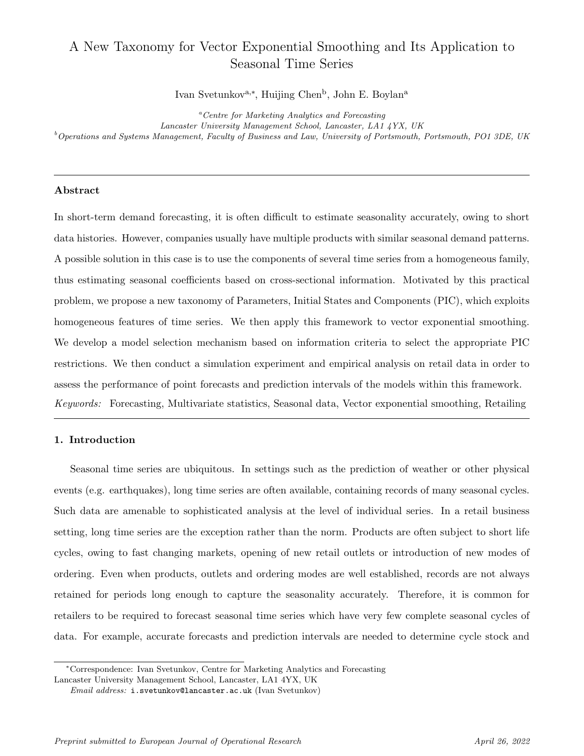# A New Taxonomy for Vector Exponential Smoothing and Its Application to Seasonal Time Series

Ivan Svetunkov<sup>a,∗</sup>, Huijing Chen<sup>b</sup>, John E. Boylan<sup>a</sup>

<sup>a</sup>Centre for Marketing Analytics and Forecasting

Lancaster University Management School, Lancaster, LA1 4YX, UK

 $^b$ Operations and Systems Management, Faculty of Business and Law, University of Portsmouth, Portsmouth, PO1 3DE, UK

#### Abstract

In short-term demand forecasting, it is often difficult to estimate seasonality accurately, owing to short data histories. However, companies usually have multiple products with similar seasonal demand patterns. A possible solution in this case is to use the components of several time series from a homogeneous family, thus estimating seasonal coefficients based on cross-sectional information. Motivated by this practical problem, we propose a new taxonomy of Parameters, Initial States and Components (PIC), which exploits homogeneous features of time series. We then apply this framework to vector exponential smoothing. We develop a model selection mechanism based on information criteria to select the appropriate PIC restrictions. We then conduct a simulation experiment and empirical analysis on retail data in order to assess the performance of point forecasts and prediction intervals of the models within this framework. Keywords: Forecasting, Multivariate statistics, Seasonal data, Vector exponential smoothing, Retailing

## 1. Introduction

Seasonal time series are ubiquitous. In settings such as the prediction of weather or other physical events (e.g. earthquakes), long time series are often available, containing records of many seasonal cycles. Such data are amenable to sophisticated analysis at the level of individual series. In a retail business setting, long time series are the exception rather than the norm. Products are often subject to short life cycles, owing to fast changing markets, opening of new retail outlets or introduction of new modes of ordering. Even when products, outlets and ordering modes are well established, records are not always retained for periods long enough to capture the seasonality accurately. Therefore, it is common for retailers to be required to forecast seasonal time series which have very few complete seasonal cycles of data. For example, accurate forecasts and prediction intervals are needed to determine cycle stock and

<sup>∗</sup>Correspondence: Ivan Svetunkov, Centre for Marketing Analytics and Forecasting

Lancaster University Management School, Lancaster, LA1 4YX, UK

Email address: i.svetunkov@lancaster.ac.uk (Ivan Svetunkov)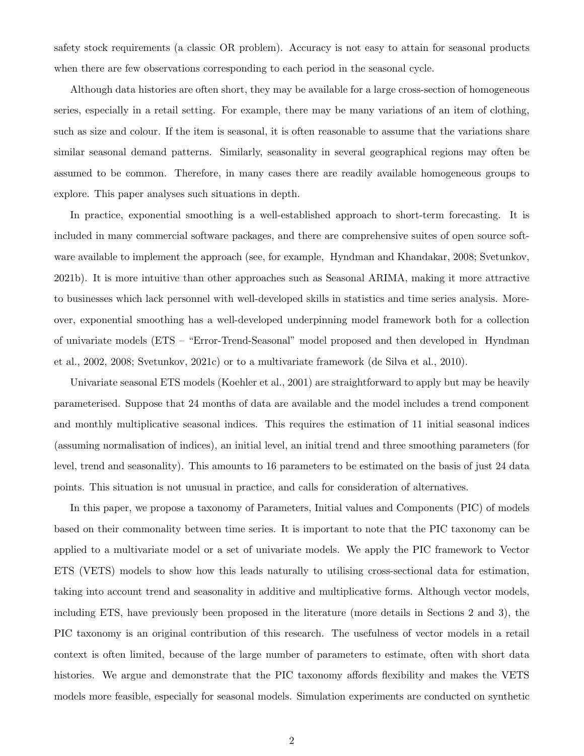safety stock requirements (a classic OR problem). Accuracy is not easy to attain for seasonal products when there are few observations corresponding to each period in the seasonal cycle.

Although data histories are often short, they may be available for a large cross-section of homogeneous series, especially in a retail setting. For example, there may be many variations of an item of clothing, such as size and colour. If the item is seasonal, it is often reasonable to assume that the variations share similar seasonal demand patterns. Similarly, seasonality in several geographical regions may often be assumed to be common. Therefore, in many cases there are readily available homogeneous groups to explore. This paper analyses such situations in depth.

In practice, exponential smoothing is a well-established approach to short-term forecasting. It is included in many commercial software packages, and there are comprehensive suites of open source software available to implement the approach (see, for example, Hyndman and Khandakar, 2008; Svetunkov, 2021b). It is more intuitive than other approaches such as Seasonal ARIMA, making it more attractive to businesses which lack personnel with well-developed skills in statistics and time series analysis. Moreover, exponential smoothing has a well-developed underpinning model framework both for a collection of univariate models (ETS – "Error-Trend-Seasonal" model proposed and then developed in Hyndman et al., 2002, 2008; Svetunkov, 2021c) or to a multivariate framework (de Silva et al., 2010).

Univariate seasonal ETS models (Koehler et al., 2001) are straightforward to apply but may be heavily parameterised. Suppose that 24 months of data are available and the model includes a trend component and monthly multiplicative seasonal indices. This requires the estimation of 11 initial seasonal indices (assuming normalisation of indices), an initial level, an initial trend and three smoothing parameters (for level, trend and seasonality). This amounts to 16 parameters to be estimated on the basis of just 24 data points. This situation is not unusual in practice, and calls for consideration of alternatives.

In this paper, we propose a taxonomy of Parameters, Initial values and Components (PIC) of models based on their commonality between time series. It is important to note that the PIC taxonomy can be applied to a multivariate model or a set of univariate models. We apply the PIC framework to Vector ETS (VETS) models to show how this leads naturally to utilising cross-sectional data for estimation, taking into account trend and seasonality in additive and multiplicative forms. Although vector models, including ETS, have previously been proposed in the literature (more details in Sections 2 and 3), the PIC taxonomy is an original contribution of this research. The usefulness of vector models in a retail context is often limited, because of the large number of parameters to estimate, often with short data histories. We argue and demonstrate that the PIC taxonomy affords flexibility and makes the VETS models more feasible, especially for seasonal models. Simulation experiments are conducted on synthetic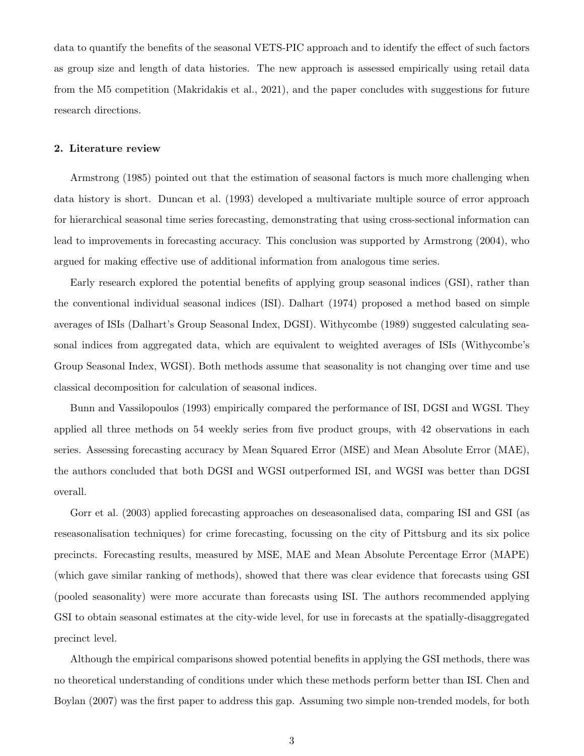data to quantify the benefits of the seasonal VETS-PIC approach and to identify the effect of such factors as group size and length of data histories. The new approach is assessed empirically using retail data from the M5 competition (Makridakis et al., 2021), and the paper concludes with suggestions for future research directions.

#### 2. Literature review

Armstrong (1985) pointed out that the estimation of seasonal factors is much more challenging when data history is short. Duncan et al. (1993) developed a multivariate multiple source of error approach for hierarchical seasonal time series forecasting, demonstrating that using cross-sectional information can lead to improvements in forecasting accuracy. This conclusion was supported by Armstrong (2004), who argued for making effective use of additional information from analogous time series.

Early research explored the potential benefits of applying group seasonal indices (GSI), rather than the conventional individual seasonal indices (ISI). Dalhart (1974) proposed a method based on simple averages of ISIs (Dalhart's Group Seasonal Index, DGSI). Withycombe (1989) suggested calculating seasonal indices from aggregated data, which are equivalent to weighted averages of ISIs (Withycombe's Group Seasonal Index, WGSI). Both methods assume that seasonality is not changing over time and use classical decomposition for calculation of seasonal indices.

Bunn and Vassilopoulos (1993) empirically compared the performance of ISI, DGSI and WGSI. They applied all three methods on 54 weekly series from five product groups, with 42 observations in each series. Assessing forecasting accuracy by Mean Squared Error (MSE) and Mean Absolute Error (MAE), the authors concluded that both DGSI and WGSI outperformed ISI, and WGSI was better than DGSI overall.

Gorr et al. (2003) applied forecasting approaches on deseasonalised data, comparing ISI and GSI (as reseasonalisation techniques) for crime forecasting, focussing on the city of Pittsburg and its six police precincts. Forecasting results, measured by MSE, MAE and Mean Absolute Percentage Error (MAPE) (which gave similar ranking of methods), showed that there was clear evidence that forecasts using GSI (pooled seasonality) were more accurate than forecasts using ISI. The authors recommended applying GSI to obtain seasonal estimates at the city-wide level, for use in forecasts at the spatially-disaggregated precinct level.

Although the empirical comparisons showed potential benefits in applying the GSI methods, there was no theoretical understanding of conditions under which these methods perform better than ISI. Chen and Boylan (2007) was the first paper to address this gap. Assuming two simple non-trended models, for both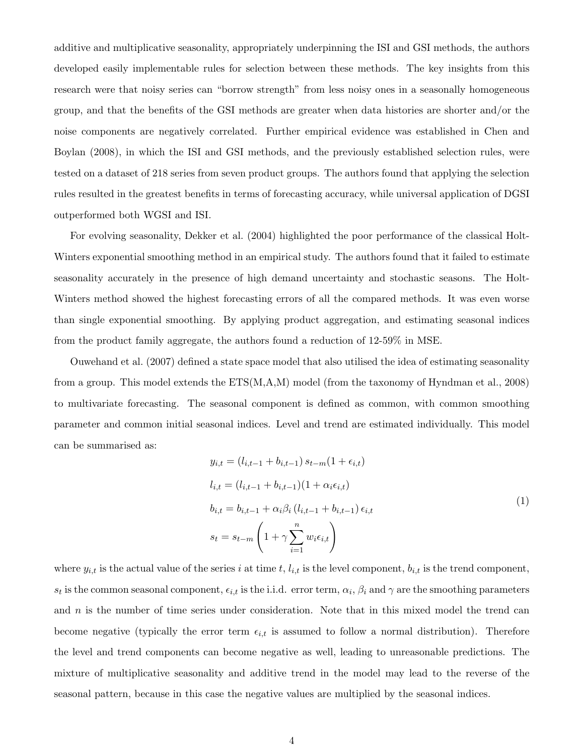additive and multiplicative seasonality, appropriately underpinning the ISI and GSI methods, the authors developed easily implementable rules for selection between these methods. The key insights from this research were that noisy series can "borrow strength" from less noisy ones in a seasonally homogeneous group, and that the benefits of the GSI methods are greater when data histories are shorter and/or the noise components are negatively correlated. Further empirical evidence was established in Chen and Boylan (2008), in which the ISI and GSI methods, and the previously established selection rules, were tested on a dataset of 218 series from seven product groups. The authors found that applying the selection rules resulted in the greatest benefits in terms of forecasting accuracy, while universal application of DGSI outperformed both WGSI and ISI.

For evolving seasonality, Dekker et al. (2004) highlighted the poor performance of the classical Holt-Winters exponential smoothing method in an empirical study. The authors found that it failed to estimate seasonality accurately in the presence of high demand uncertainty and stochastic seasons. The Holt-Winters method showed the highest forecasting errors of all the compared methods. It was even worse than single exponential smoothing. By applying product aggregation, and estimating seasonal indices from the product family aggregate, the authors found a reduction of 12-59% in MSE.

Ouwehand et al. (2007) defined a state space model that also utilised the idea of estimating seasonality from a group. This model extends the ETS(M,A,M) model (from the taxonomy of Hyndman et al., 2008) to multivariate forecasting. The seasonal component is defined as common, with common smoothing parameter and common initial seasonal indices. Level and trend are estimated individually. This model can be summarised as:

$$
y_{i,t} = (l_{i,t-1} + b_{i,t-1}) s_{t-m} (1 + \epsilon_{i,t})
$$
  
\n
$$
l_{i,t} = (l_{i,t-1} + b_{i,t-1}) (1 + \alpha_i \epsilon_{i,t})
$$
  
\n
$$
b_{i,t} = b_{i,t-1} + \alpha_i \beta_i (l_{i,t-1} + b_{i,t-1}) \epsilon_{i,t}
$$
  
\n
$$
s_t = s_{t-m} \left( 1 + \gamma \sum_{i=1}^n w_i \epsilon_{i,t} \right)
$$
\n(1)

where  $y_{i,t}$  is the actual value of the series i at time t,  $l_{i,t}$  is the level component,  $b_{i,t}$  is the trend component,  $s_t$  is the common seasonal component,  $\epsilon_{i,t}$  is the i.i.d. error term,  $\alpha_i$ ,  $\beta_i$  and  $\gamma$  are the smoothing parameters and  $n$  is the number of time series under consideration. Note that in this mixed model the trend can become negative (typically the error term  $\epsilon_{i,t}$  is assumed to follow a normal distribution). Therefore the level and trend components can become negative as well, leading to unreasonable predictions. The mixture of multiplicative seasonality and additive trend in the model may lead to the reverse of the seasonal pattern, because in this case the negative values are multiplied by the seasonal indices.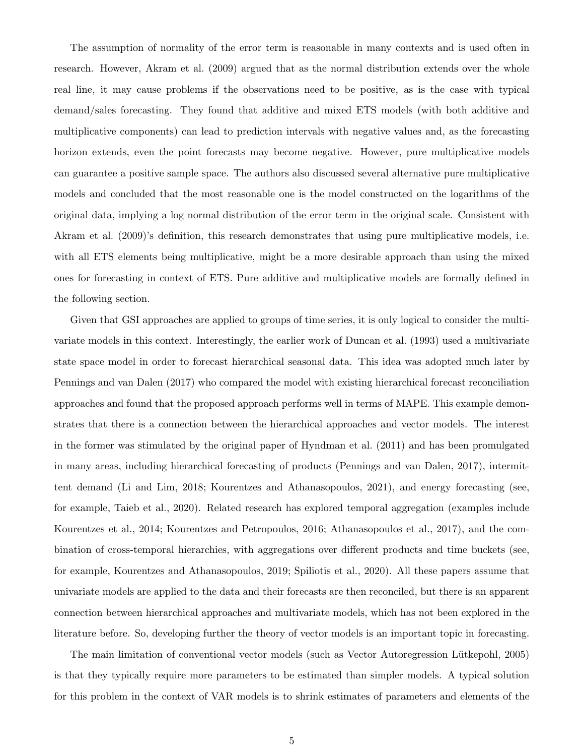The assumption of normality of the error term is reasonable in many contexts and is used often in research. However, Akram et al. (2009) argued that as the normal distribution extends over the whole real line, it may cause problems if the observations need to be positive, as is the case with typical demand/sales forecasting. They found that additive and mixed ETS models (with both additive and multiplicative components) can lead to prediction intervals with negative values and, as the forecasting horizon extends, even the point forecasts may become negative. However, pure multiplicative models can guarantee a positive sample space. The authors also discussed several alternative pure multiplicative models and concluded that the most reasonable one is the model constructed on the logarithms of the original data, implying a log normal distribution of the error term in the original scale. Consistent with Akram et al. (2009)'s definition, this research demonstrates that using pure multiplicative models, i.e. with all ETS elements being multiplicative, might be a more desirable approach than using the mixed ones for forecasting in context of ETS. Pure additive and multiplicative models are formally defined in the following section.

Given that GSI approaches are applied to groups of time series, it is only logical to consider the multivariate models in this context. Interestingly, the earlier work of Duncan et al. (1993) used a multivariate state space model in order to forecast hierarchical seasonal data. This idea was adopted much later by Pennings and van Dalen (2017) who compared the model with existing hierarchical forecast reconciliation approaches and found that the proposed approach performs well in terms of MAPE. This example demonstrates that there is a connection between the hierarchical approaches and vector models. The interest in the former was stimulated by the original paper of Hyndman et al. (2011) and has been promulgated in many areas, including hierarchical forecasting of products (Pennings and van Dalen, 2017), intermittent demand (Li and Lim, 2018; Kourentzes and Athanasopoulos, 2021), and energy forecasting (see, for example, Taieb et al., 2020). Related research has explored temporal aggregation (examples include Kourentzes et al., 2014; Kourentzes and Petropoulos, 2016; Athanasopoulos et al., 2017), and the combination of cross-temporal hierarchies, with aggregations over different products and time buckets (see, for example, Kourentzes and Athanasopoulos, 2019; Spiliotis et al., 2020). All these papers assume that univariate models are applied to the data and their forecasts are then reconciled, but there is an apparent connection between hierarchical approaches and multivariate models, which has not been explored in the literature before. So, developing further the theory of vector models is an important topic in forecasting.

The main limitation of conventional vector models (such as Vector Autoregression Lütkepohl, 2005) is that they typically require more parameters to be estimated than simpler models. A typical solution for this problem in the context of VAR models is to shrink estimates of parameters and elements of the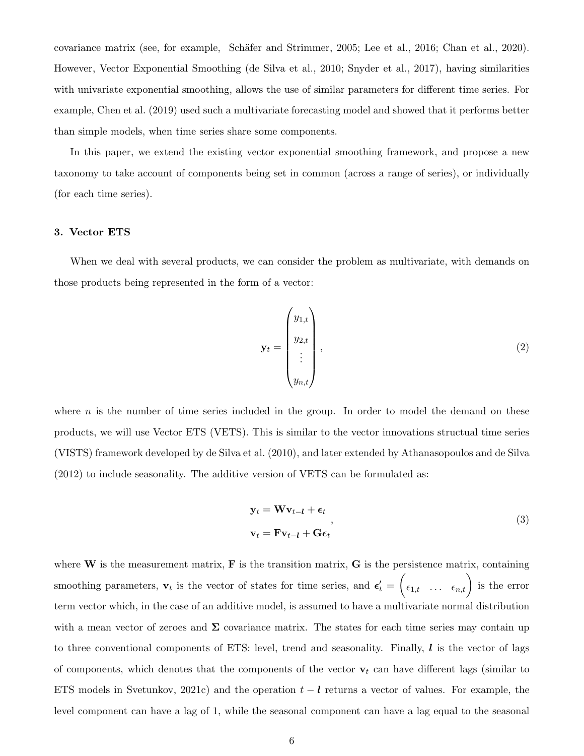covariance matrix (see, for example, Schäfer and Strimmer, 2005; Lee et al., 2016; Chan et al., 2020). However, Vector Exponential Smoothing (de Silva et al., 2010; Snyder et al., 2017), having similarities with univariate exponential smoothing, allows the use of similar parameters for different time series. For example, Chen et al. (2019) used such a multivariate forecasting model and showed that it performs better than simple models, when time series share some components.

In this paper, we extend the existing vector exponential smoothing framework, and propose a new taxonomy to take account of components being set in common (across a range of series), or individually (for each time series).

#### 3. Vector ETS

When we deal with several products, we can consider the problem as multivariate, with demands on those products being represented in the form of a vector:

$$
\mathbf{y}_t = \begin{pmatrix} y_{1,t} \\ y_{2,t} \\ \vdots \\ y_{n,t} \end{pmatrix}, \tag{2}
$$

where  $n$  is the number of time series included in the group. In order to model the demand on these products, we will use Vector ETS (VETS). This is similar to the vector innovations structual time series (VISTS) framework developed by de Silva et al. (2010), and later extended by Athanasopoulos and de Silva (2012) to include seasonality. The additive version of VETS can be formulated as:

$$
\mathbf{y}_{t} = \mathbf{W}\mathbf{v}_{t-l} + \boldsymbol{\epsilon}_{t}
$$
\n
$$
\mathbf{v}_{t} = \mathbf{F}\mathbf{v}_{t-l} + \mathbf{G}\boldsymbol{\epsilon}_{t}
$$
\n(3)

where  $W$  is the measurement matrix,  $F$  is the transition matrix,  $G$  is the persistence matrix, containing smoothing parameters,  $\mathbf{v}_t$  is the vector of states for time series, and  $\boldsymbol{\epsilon}'_t = \begin{pmatrix} \epsilon_{1,t} & \dots & \epsilon_{n,t} \end{pmatrix}$  is the error term vector which, in the case of an additive model, is assumed to have a multivariate normal distribution with a mean vector of zeroes and  $\Sigma$  covariance matrix. The states for each time series may contain up to three conventional components of ETS: level, trend and seasonality. Finally,  $\bm{l}$  is the vector of lags of components, which denotes that the components of the vector  $\mathbf{v}_t$  can have different lags (similar to ETS models in Svetunkov, 2021c) and the operation  $t - l$  returns a vector of values. For example, the level component can have a lag of 1, while the seasonal component can have a lag equal to the seasonal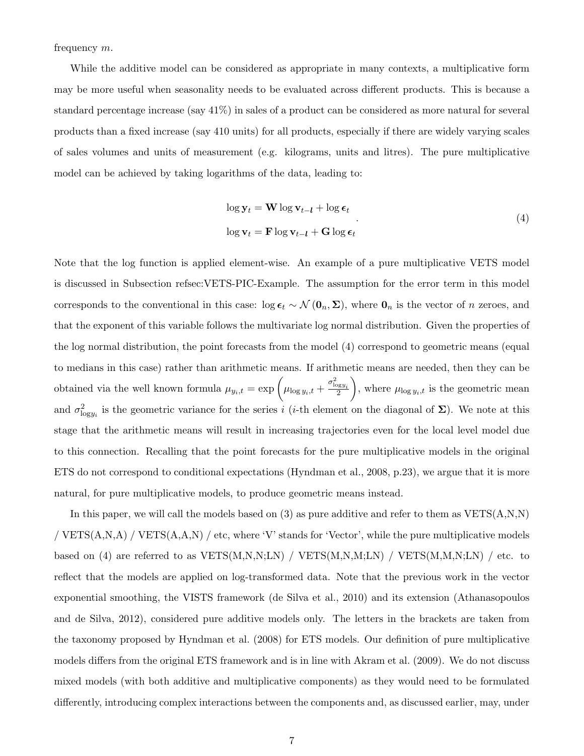frequency m.

While the additive model can be considered as appropriate in many contexts, a multiplicative form may be more useful when seasonality needs to be evaluated across different products. This is because a standard percentage increase (say 41%) in sales of a product can be considered as more natural for several products than a fixed increase (say 410 units) for all products, especially if there are widely varying scales of sales volumes and units of measurement (e.g. kilograms, units and litres). The pure multiplicative model can be achieved by taking logarithms of the data, leading to:

$$
\log \mathbf{y}_{t} = \mathbf{W} \log \mathbf{v}_{t-l} + \log \epsilon_{t}
$$
  

$$
\log \mathbf{v}_{t} = \mathbf{F} \log \mathbf{v}_{t-l} + \mathbf{G} \log \epsilon_{t}
$$
 (4)

Note that the log function is applied element-wise. An example of a pure multiplicative VETS model is discussed in Subsection refsec:VETS-PIC-Example. The assumption for the error term in this model corresponds to the conventional in this case: log  $\epsilon_t \sim \mathcal{N}(\mathbf{0}_n, \Sigma)$ , where  $\mathbf{0}_n$  is the vector of n zeroes, and that the exponent of this variable follows the multivariate log normal distribution. Given the properties of the log normal distribution, the point forecasts from the model (4) correspond to geometric means (equal to medians in this case) rather than arithmetic means. If arithmetic means are needed, then they can be obtained via the well known formula  $\mu_{y_i,t} = \exp\left(\mu_{\log y_i,t} + \frac{\sigma_{\log y_i}^2}{2}\right)$ ), where  $\mu_{\log y_i,t}$  is the geometric mean and  $\sigma_{\text{log}y_i}^2$  is the geometric variance for the series i (i-th element on the diagonal of  $\Sigma$ ). We note at this stage that the arithmetic means will result in increasing trajectories even for the local level model due to this connection. Recalling that the point forecasts for the pure multiplicative models in the original ETS do not correspond to conditional expectations (Hyndman et al., 2008, p.23), we argue that it is more natural, for pure multiplicative models, to produce geometric means instead.

In this paper, we will call the models based on  $(3)$  as pure additive and refer to them as  $VETS(A,N,N)$ / VETS(A,N,A) / VETS(A,A,N) / etc, where 'V' stands for 'Vector', while the pure multiplicative models based on (4) are referred to as  $VETS(M,N,N;LN) / VETS(M,N,M;LN) / VETS(M,N,N;LN) / etc.$  to reflect that the models are applied on log-transformed data. Note that the previous work in the vector exponential smoothing, the VISTS framework (de Silva et al., 2010) and its extension (Athanasopoulos and de Silva, 2012), considered pure additive models only. The letters in the brackets are taken from the taxonomy proposed by Hyndman et al. (2008) for ETS models. Our definition of pure multiplicative models differs from the original ETS framework and is in line with Akram et al. (2009). We do not discuss mixed models (with both additive and multiplicative components) as they would need to be formulated differently, introducing complex interactions between the components and, as discussed earlier, may, under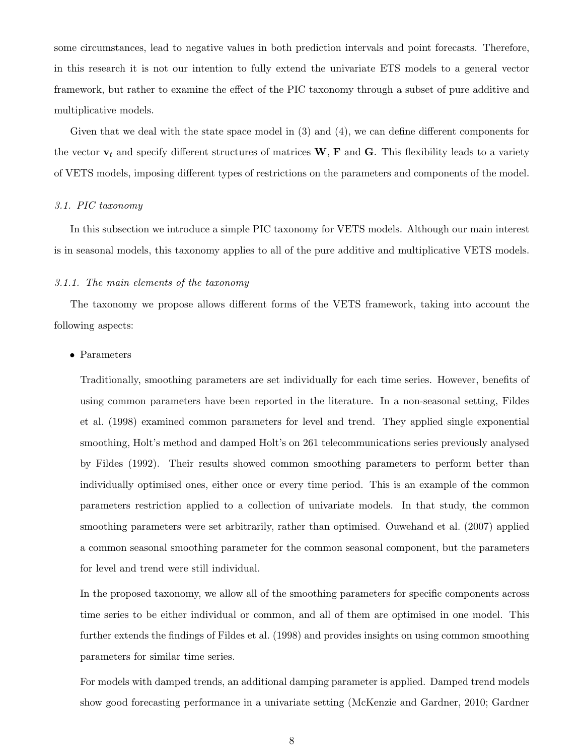some circumstances, lead to negative values in both prediction intervals and point forecasts. Therefore, in this research it is not our intention to fully extend the univariate ETS models to a general vector framework, but rather to examine the effect of the PIC taxonomy through a subset of pure additive and multiplicative models.

Given that we deal with the state space model in (3) and (4), we can define different components for the vector  $v_t$  and specify different structures of matrices W, F and G. This flexibility leads to a variety of VETS models, imposing different types of restrictions on the parameters and components of the model.

#### 3.1. PIC taxonomy

In this subsection we introduce a simple PIC taxonomy for VETS models. Although our main interest is in seasonal models, this taxonomy applies to all of the pure additive and multiplicative VETS models.

#### 3.1.1. The main elements of the taxonomy

The taxonomy we propose allows different forms of the VETS framework, taking into account the following aspects:

#### • Parameters

Traditionally, smoothing parameters are set individually for each time series. However, benefits of using common parameters have been reported in the literature. In a non-seasonal setting, Fildes et al. (1998) examined common parameters for level and trend. They applied single exponential smoothing, Holt's method and damped Holt's on 261 telecommunications series previously analysed by Fildes (1992). Their results showed common smoothing parameters to perform better than individually optimised ones, either once or every time period. This is an example of the common parameters restriction applied to a collection of univariate models. In that study, the common smoothing parameters were set arbitrarily, rather than optimised. Ouwehand et al. (2007) applied a common seasonal smoothing parameter for the common seasonal component, but the parameters for level and trend were still individual.

In the proposed taxonomy, we allow all of the smoothing parameters for specific components across time series to be either individual or common, and all of them are optimised in one model. This further extends the findings of Fildes et al. (1998) and provides insights on using common smoothing parameters for similar time series.

For models with damped trends, an additional damping parameter is applied. Damped trend models show good forecasting performance in a univariate setting (McKenzie and Gardner, 2010; Gardner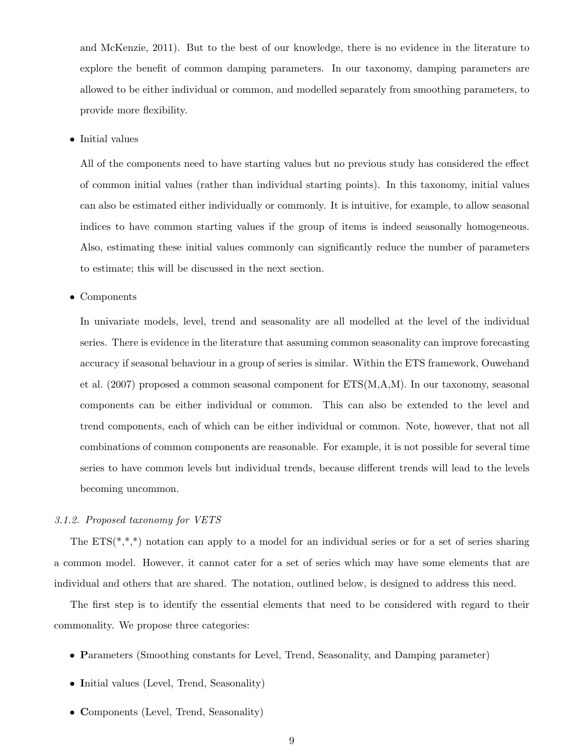and McKenzie, 2011). But to the best of our knowledge, there is no evidence in the literature to explore the benefit of common damping parameters. In our taxonomy, damping parameters are allowed to be either individual or common, and modelled separately from smoothing parameters, to provide more flexibility.

• Initial values

All of the components need to have starting values but no previous study has considered the effect of common initial values (rather than individual starting points). In this taxonomy, initial values can also be estimated either individually or commonly. It is intuitive, for example, to allow seasonal indices to have common starting values if the group of items is indeed seasonally homogeneous. Also, estimating these initial values commonly can significantly reduce the number of parameters to estimate; this will be discussed in the next section.

• Components

In univariate models, level, trend and seasonality are all modelled at the level of the individual series. There is evidence in the literature that assuming common seasonality can improve forecasting accuracy if seasonal behaviour in a group of series is similar. Within the ETS framework, Ouwehand et al. (2007) proposed a common seasonal component for ETS(M,A,M). In our taxonomy, seasonal components can be either individual or common. This can also be extended to the level and trend components, each of which can be either individual or common. Note, however, that not all combinations of common components are reasonable. For example, it is not possible for several time series to have common levels but individual trends, because different trends will lead to the levels becoming uncommon.

#### 3.1.2. Proposed taxonomy for VETS

The  $ETS(*,*,*)$  notation can apply to a model for an individual series or for a set of series sharing a common model. However, it cannot cater for a set of series which may have some elements that are individual and others that are shared. The notation, outlined below, is designed to address this need.

The first step is to identify the essential elements that need to be considered with regard to their commonality. We propose three categories:

- Parameters (Smoothing constants for Level, Trend, Seasonality, and Damping parameter)
- Initial values (Level, Trend, Seasonality)
- Components (Level, Trend, Seasonality)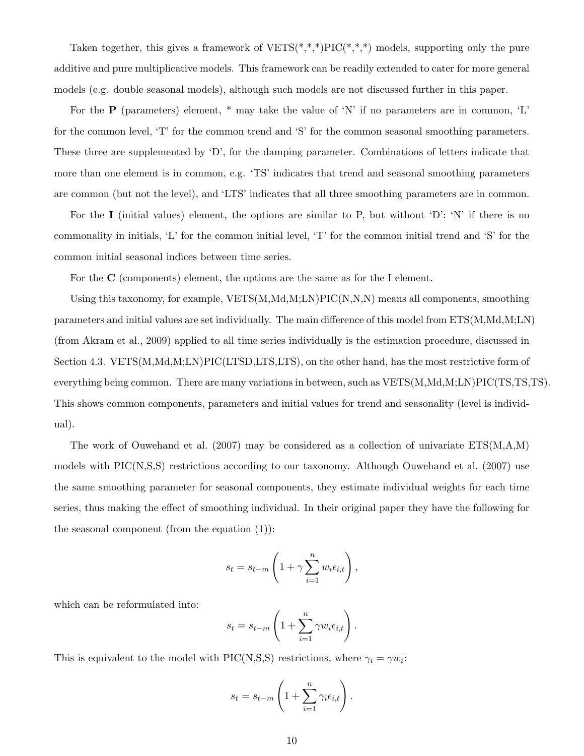Taken together, this gives a framework of  $VETS(*,*,*)PLC(*,*,*)$  models, supporting only the pure additive and pure multiplicative models. This framework can be readily extended to cater for more general models (e.g. double seasonal models), although such models are not discussed further in this paper.

For the **P** (parameters) element,  $*$  may take the value of 'N' if no parameters are in common, 'L' for the common level, 'T' for the common trend and 'S' for the common seasonal smoothing parameters. These three are supplemented by 'D', for the damping parameter. Combinations of letters indicate that more than one element is in common, e.g. 'TS' indicates that trend and seasonal smoothing parameters are common (but not the level), and 'LTS' indicates that all three smoothing parameters are in common.

For the I (initial values) element, the options are similar to P, but without 'D': 'N' if there is no commonality in initials, 'L' for the common initial level, 'T' for the common initial trend and 'S' for the common initial seasonal indices between time series.

For the C (components) element, the options are the same as for the I element.

Using this taxonomy, for example, VETS(M,Md,M;LN)PIC(N,N,N) means all components, smoothing parameters and initial values are set individually. The main difference of this model from ETS(M,Md,M;LN) (from Akram et al., 2009) applied to all time series individually is the estimation procedure, discussed in Section 4.3. VETS(M,Md,M;LN)PIC(LTSD,LTS,LTS), on the other hand, has the most restrictive form of everything being common. There are many variations in between, such as VETS(M,Md,M;LN)PIC(TS,TS,TS). This shows common components, parameters and initial values for trend and seasonality (level is individual).

The work of Ouwehand et al.  $(2007)$  may be considered as a collection of univariate  $ETS(M,A,M)$ models with PIC(N,S,S) restrictions according to our taxonomy. Although Ouwehand et al. (2007) use the same smoothing parameter for seasonal components, they estimate individual weights for each time series, thus making the effect of smoothing individual. In their original paper they have the following for the seasonal component (from the equation  $(1)$ ):

$$
s_t = s_{t-m} \left( 1 + \gamma \sum_{i=1}^n w_i \epsilon_{i,t} \right),
$$

which can be reformulated into:

$$
s_t = s_{t-m} \left( 1 + \sum_{i=1}^n \gamma w_i \epsilon_{i,t} \right).
$$

This is equivalent to the model with PIC(N,S,S) restrictions, where  $\gamma_i = \gamma w_i$ :

$$
s_t = s_{t-m} \left( 1 + \sum_{i=1}^n \gamma_i \epsilon_{i,t} \right).
$$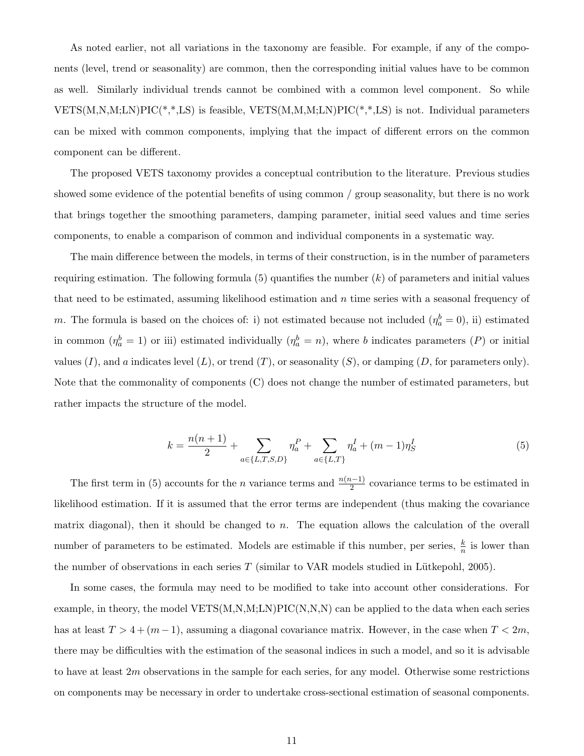As noted earlier, not all variations in the taxonomy are feasible. For example, if any of the components (level, trend or seasonality) are common, then the corresponding initial values have to be common as well. Similarly individual trends cannot be combined with a common level component. So while VETS(M,N,M;LN)PIC(\*,\*,LS) is feasible, VETS(M,M,M;LN)PIC(\*,\*,LS) is not. Individual parameters can be mixed with common components, implying that the impact of different errors on the common component can be different.

The proposed VETS taxonomy provides a conceptual contribution to the literature. Previous studies showed some evidence of the potential benefits of using common / group seasonality, but there is no work that brings together the smoothing parameters, damping parameter, initial seed values and time series components, to enable a comparison of common and individual components in a systematic way.

The main difference between the models, in terms of their construction, is in the number of parameters requiring estimation. The following formula  $(5)$  quantifies the number  $(k)$  of parameters and initial values that need to be estimated, assuming likelihood estimation and  $n$  time series with a seasonal frequency of m. The formula is based on the choices of: i) not estimated because not included  $(\eta_a^b = 0)$ , ii) estimated in common  $(\eta_a^b = 1)$  or iii) estimated individually  $(\eta_a^b = n)$ , where b indicates parameters  $(P)$  or initial values  $(I)$ , and a indicates level  $(L)$ , or trend  $(T)$ , or seasonality  $(S)$ , or damping  $(D)$ , for parameters only). Note that the commonality of components (C) does not change the number of estimated parameters, but rather impacts the structure of the model.

$$
k = \frac{n(n+1)}{2} + \sum_{a \in \{L, T, S, D\}} \eta_a^P + \sum_{a \in \{L, T\}} \eta_a^I + (m-1)\eta_S^I
$$
 (5)

The first term in (5) accounts for the *n* variance terms and  $\frac{n(n-1)}{2}$  covariance terms to be estimated in likelihood estimation. If it is assumed that the error terms are independent (thus making the covariance matrix diagonal), then it should be changed to  $n$ . The equation allows the calculation of the overall number of parameters to be estimated. Models are estimable if this number, per series,  $\frac{k}{n}$  is lower than the number of observations in each series  $T$  (similar to VAR models studied in Lütkepohl, 2005).

In some cases, the formula may need to be modified to take into account other considerations. For example, in theory, the model VETS(M,N,M;LN)PIC(N,N,N) can be applied to the data when each series has at least  $T > 4 + (m - 1)$ , assuming a diagonal covariance matrix. However, in the case when  $T < 2m$ , there may be difficulties with the estimation of the seasonal indices in such a model, and so it is advisable to have at least  $2m$  observations in the sample for each series, for any model. Otherwise some restrictions on components may be necessary in order to undertake cross-sectional estimation of seasonal components.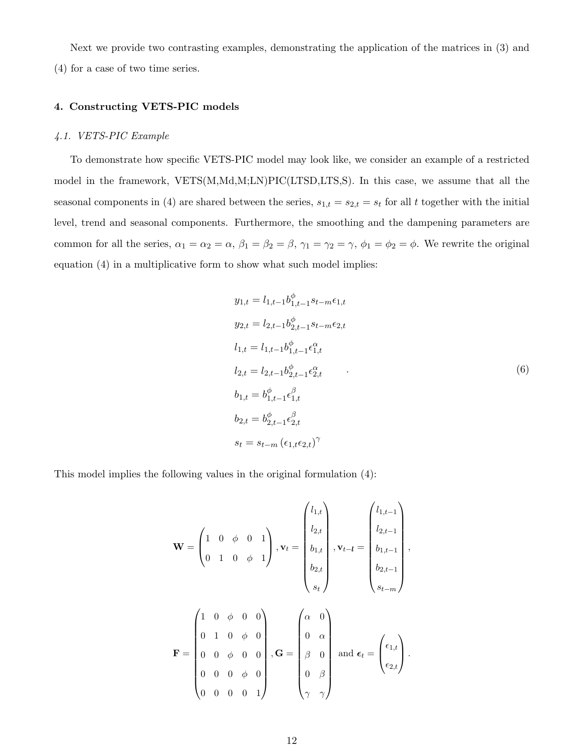Next we provide two contrasting examples, demonstrating the application of the matrices in (3) and (4) for a case of two time series.

#### 4. Constructing VETS-PIC models

#### 4.1. VETS-PIC Example

To demonstrate how specific VETS-PIC model may look like, we consider an example of a restricted model in the framework, VETS(M,Md,M;LN)PIC(LTSD,LTS,S). In this case, we assume that all the seasonal components in (4) are shared between the series,  $s_{1,t} = s_{2,t} = s_t$  for all t together with the initial level, trend and seasonal components. Furthermore, the smoothing and the dampening parameters are common for all the series,  $\alpha_1 = \alpha_2 = \alpha$ ,  $\beta_1 = \beta_2 = \beta$ ,  $\gamma_1 = \gamma_2 = \gamma$ ,  $\phi_1 = \phi_2 = \phi$ . We rewrite the original equation (4) in a multiplicative form to show what such model implies:

$$
y_{1,t} = l_{1,t-1}b_{1,t-1}^{\phi} s_{t-m} \epsilon_{1,t}
$$
  
\n
$$
y_{2,t} = l_{2,t-1}b_{2,t-1}^{\phi} s_{t-m} \epsilon_{2,t}
$$
  
\n
$$
l_{1,t} = l_{1,t-1}b_{1,t-1}^{\phi} \epsilon_{1,t}^{\alpha}
$$
  
\n
$$
l_{2,t} = l_{2,t-1}b_{2,t-1}^{\phi} \epsilon_{2,t}^{\alpha}
$$
  
\n
$$
b_{1,t} = b_{1,t-1}^{\phi} \epsilon_{1,t}^{\beta}
$$
  
\n
$$
b_{2,t} = b_{2,t-1}^{\phi} \epsilon_{2,t}^{\beta}
$$
  
\n
$$
s_t = s_{t-m} (\epsilon_{1,t} \epsilon_{2,t})^{\gamma}
$$
 (6)

This model implies the following values in the original formulation (4):

$$
\mathbf{W} = \begin{pmatrix} 1 & 0 & \phi & 0 & 1 \\ 0 & 1 & 0 & \phi & 1 \end{pmatrix}, \mathbf{v}_{t} = \begin{pmatrix} l_{1,t} \\ l_{2,t} \\ b_{1,t} \\ b_{2,t} \\ s_{t} \end{pmatrix}, \mathbf{v}_{t-l} = \begin{pmatrix} l_{1,t-1} \\ l_{2,t-1} \\ b_{1,t-1} \\ b_{2,t-1} \\ s_{t-m} \end{pmatrix},
$$

$$
\mathbf{F} = \begin{pmatrix} 1 & 0 & \phi & 0 & 0 \\ 0 & 1 & 0 & \phi & 0 \\ 0 & 0 & \phi & 0 & 0 \\ 0 & 0 & 0 & 0 & 1 \end{pmatrix}, \mathbf{G} = \begin{pmatrix} \alpha & 0 \\ 0 & \alpha \\ \beta & 0 \\ 0 & \beta \\ \gamma & \gamma \end{pmatrix} \text{ and } \boldsymbol{\epsilon}_{t} = \begin{pmatrix} \epsilon_{1,t} \\ \epsilon_{2,t} \end{pmatrix}.
$$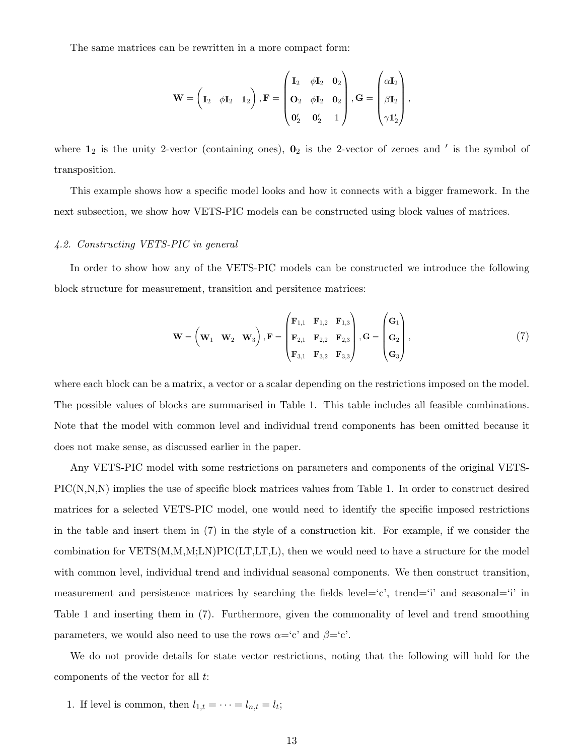The same matrices can be rewritten in a more compact form:

$$
\mathbf{W} = \begin{pmatrix} \mathbf{I}_2 & \phi \mathbf{I}_2 & \mathbf{I}_2 \end{pmatrix}, \mathbf{F} = \begin{pmatrix} \mathbf{I}_2 & \phi \mathbf{I}_2 & \mathbf{0}_2 \\ \mathbf{O}_2 & \phi \mathbf{I}_2 & \mathbf{0}_2 \\ \mathbf{0}_2' & \mathbf{0}_2' & 1 \end{pmatrix}, \mathbf{G} = \begin{pmatrix} \alpha \mathbf{I}_2 \\ \beta \mathbf{I}_2 \\ \gamma \mathbf{1}_2' \end{pmatrix},
$$

where  $1_2$  is the unity 2-vector (containing ones),  $0_2$  is the 2-vector of zeroes and ' is the symbol of transposition.

This example shows how a specific model looks and how it connects with a bigger framework. In the next subsection, we show how VETS-PIC models can be constructed using block values of matrices.

#### 4.2. Constructing VETS-PIC in general

In order to show how any of the VETS-PIC models can be constructed we introduce the following block structure for measurement, transition and persitence matrices:

$$
\mathbf{W} = \begin{pmatrix} \mathbf{W}_1 & \mathbf{W}_2 & \mathbf{W}_3 \end{pmatrix}, \mathbf{F} = \begin{pmatrix} \mathbf{F}_{1,1} & \mathbf{F}_{1,2} & \mathbf{F}_{1,3} \\ \mathbf{F}_{2,1} & \mathbf{F}_{2,2} & \mathbf{F}_{2,3} \\ \mathbf{F}_{3,1} & \mathbf{F}_{3,2} & \mathbf{F}_{3,3} \end{pmatrix}, \mathbf{G} = \begin{pmatrix} \mathbf{G}_1 \\ \mathbf{G}_2 \\ \mathbf{G}_3 \end{pmatrix},
$$
(7)

where each block can be a matrix, a vector or a scalar depending on the restrictions imposed on the model. The possible values of blocks are summarised in Table 1. This table includes all feasible combinations. Note that the model with common level and individual trend components has been omitted because it does not make sense, as discussed earlier in the paper.

Any VETS-PIC model with some restrictions on parameters and components of the original VETS-PIC(N,N,N) implies the use of specific block matrices values from Table 1. In order to construct desired matrices for a selected VETS-PIC model, one would need to identify the specific imposed restrictions in the table and insert them in (7) in the style of a construction kit. For example, if we consider the combination for VETS(M,M,M;LN)PIC(LT,LT,L), then we would need to have a structure for the model with common level, individual trend and individual seasonal components. We then construct transition, measurement and persistence matrices by searching the fields level='c', trend='i' and seasonal='i' in Table 1 and inserting them in (7). Furthermore, given the commonality of level and trend smoothing parameters, we would also need to use the rows  $\alpha = c'$  and  $\beta = c'$ .

We do not provide details for state vector restrictions, noting that the following will hold for the components of the vector for all t:

1. If level is common, then  $l_{1,t} = \cdots = l_{n,t} = l_t$ ;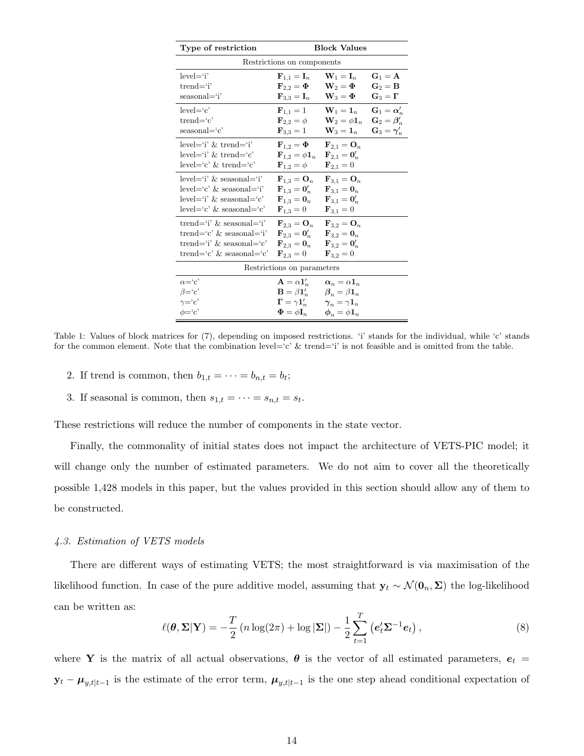| Type of restriction<br><b>Block Values</b>                                                                                  |                                                                                                                                                                                                      |                                                                                                                                                                            |                                                                                |  |  |  |
|-----------------------------------------------------------------------------------------------------------------------------|------------------------------------------------------------------------------------------------------------------------------------------------------------------------------------------------------|----------------------------------------------------------------------------------------------------------------------------------------------------------------------------|--------------------------------------------------------------------------------|--|--|--|
|                                                                                                                             | Restrictions on components                                                                                                                                                                           |                                                                                                                                                                            |                                                                                |  |  |  |
| $level = 'i'$<br>$trend = 'i'$<br>seasonal='i'                                                                              | $\mathbf{F}_{1,1}=\mathbf{I}_n$<br>$\mathbf{F}_{2,2}=\mathbf{\Phi}$<br>$\mathbf{F}_{3,3}=\mathbf{I}_n$                                                                                               | $\mathbf{W}_1 = \mathbf{I}_n$<br>$\mathbf{W}_2 = \mathbf{\Phi}$<br>$\mathbf{W}_3 = \mathbf{\Phi}$                                                                          | $G_1 = A$<br>$\mathbf{G}_2 = \mathbf{B}$<br>$\mathbf{G}_3=\boldsymbol{\Gamma}$ |  |  |  |
| $level = c'$<br>$trend='c'$<br>$seasonal = c'$                                                                              | ${\bf F}_{1,1}=1$<br>$\mathbf{F}_{2,2}=\phi$<br>${\bf F}_{3,3} = 1$                                                                                                                                  | $W_1 = 1_n$ $G_1 = \alpha'_n$<br>$\mathbf{W}_2 = \phi \mathbf{1}_n \quad \mathbf{G}_2 = \boldsymbol{\beta}'_n$<br>$\mathbf{W}_3 = \mathbf{1}_n$ $\mathbf{G}_3 = \gamma'_n$ |                                                                                |  |  |  |
| $level="i$ ' & trend='i'<br>$level="i$ ' & trend='c'<br>$level='c' \& trend='c'$                                            | ${\bf F}_{1,2} = {\bf \Phi}$ ${\bf F}_{2,1} = {\bf O}_n$<br>$\mathbf{F}_{1,2} = \phi \mathbf{1}_n$<br>${\bf F}_{1,2}=\phi$                                                                           | ${\bf F}_{2,1}={\bf 0}_n'$<br>${\bf F}_{2,1}=0$                                                                                                                            |                                                                                |  |  |  |
| $level="i$ ' & seasonal='i'<br>$level="c' \&$ seasonal='i'<br>$level="i$ & seasonal='c'<br>$level='c' \&$ seasonal= $c'$    | $\mathbf{F}_{1,3} = \mathbf{O}_n$<br>$\mathbf{F}_{1,3}=\mathbf{0}_n'$<br>${\bf F}_{1,3} = {\bf 0}_n$ ${\bf F}_{3,1} = {\bf 0}_n'$<br>${\bf F}_{1,3}=0$                                               | $\mathbf{F}_{3,1}=\mathbf{O}_n$<br>${\bf F}_{3,1}={\bf 0}_n$<br>${\bf F}_{3,1}=0$                                                                                          |                                                                                |  |  |  |
| trend='i' $\&$ seasonal='i'<br>trend= $c'$ & seasonal= $i'$<br>trend= $i'$ & seasonal= $c'$<br>trend= $c'$ & seasonal= $c'$ | ${\bf F}_{2,3} = {\bf O}_n$ ${\bf F}_{3,2} = {\bf O}_n$<br>${\bf F}_{2,3} = {\bf 0}_n'$ ${\bf F}_{3,2} = {\bf 0}_n$<br>${\bf F}_{2,3} = {\bf 0}_n$ ${\bf F}_{3,2} = {\bf 0}_n'$<br>${\bf F}_{2,3}=0$ | ${\bf F}_{3,2}=0$                                                                                                                                                          |                                                                                |  |  |  |
|                                                                                                                             | Restrictions on parameters                                                                                                                                                                           |                                                                                                                                                                            |                                                                                |  |  |  |
| $\alpha = c'$<br>$\beta = c'$<br>$\gamma = c'$<br>$\phi = c'$                                                               | ${\bf A} = \alpha {\bf 1}_n'$<br>$\mathbf{B} = \beta \mathbf{1}_n'$ $\beta_n = \beta \mathbf{1}_n$<br>$\Gamma = \gamma \mathbf{1}_n'$<br>$\boldsymbol{\Phi} = \phi \mathbf{I}_n$                     | $\alpha_n = \alpha \mathbf{1}_n$<br>$\boldsymbol{\gamma}_n = \gamma \boldsymbol{1}_n$<br>$\boldsymbol{\phi}_n = \phi \boldsymbol{1}_n$                                     |                                                                                |  |  |  |

Table 1: Values of block matrices for (7), depending on imposed restrictions. 'i' stands for the individual, while 'c' stands for the common element. Note that the combination level= $c' \&$  trend= $i'$  is not feasible and is omitted from the table.

- 2. If trend is common, then  $b_{1,t} = \cdots = b_{n,t} = b_t$ ;
- 3. If seasonal is common, then  $s_{1,t} = \cdots = s_{n,t} = s_t$ .

These restrictions will reduce the number of components in the state vector.

Finally, the commonality of initial states does not impact the architecture of VETS-PIC model; it will change only the number of estimated parameters. We do not aim to cover all the theoretically possible 1,428 models in this paper, but the values provided in this section should allow any of them to be constructed.

#### 4.3. Estimation of VETS models

There are different ways of estimating VETS; the most straightforward is via maximisation of the likelihood function. In case of the pure additive model, assuming that  $y_t \sim \mathcal{N}(\mathbf{0}_n, \Sigma)$  the log-likelihood can be written as:

$$
\ell(\boldsymbol{\theta}, \boldsymbol{\Sigma}|\mathbf{Y}) = -\frac{T}{2} \left( n \log(2\pi) + \log |\mathbf{\Sigma}| \right) - \frac{1}{2} \sum_{t=1}^{T} \left( e_t' \boldsymbol{\Sigma}^{-1} e_t \right), \tag{8}
$$

where Y is the matrix of all actual observations,  $\theta$  is the vector of all estimated parameters,  $e_t$  =  $\mathbf{y}_t - \boldsymbol{\mu}_{y,t|t-1}$  is the estimate of the error term,  $\boldsymbol{\mu}_{y,t|t-1}$  is the one step ahead conditional expectation of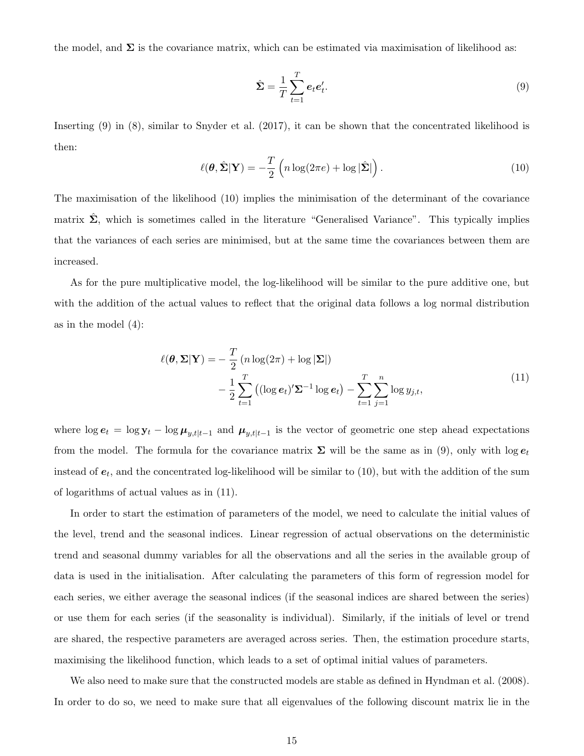the model, and  $\Sigma$  is the covariance matrix, which can be estimated via maximisation of likelihood as:

$$
\hat{\Sigma} = \frac{1}{T} \sum_{t=1}^{T} e_t e_t'.\tag{9}
$$

Inserting (9) in (8), similar to Snyder et al. (2017), it can be shown that the concentrated likelihood is then:

$$
\ell(\boldsymbol{\theta}, \hat{\boldsymbol{\Sigma}} | \mathbf{Y}) = -\frac{T}{2} \left( n \log(2\pi e) + \log |\hat{\boldsymbol{\Sigma}}| \right).
$$
 (10)

The maximisation of the likelihood (10) implies the minimisation of the determinant of the covariance matrix  $\Sigma$ , which is sometimes called in the literature "Generalised Variance". This typically implies that the variances of each series are minimised, but at the same time the covariances between them are increased.

As for the pure multiplicative model, the log-likelihood will be similar to the pure additive one, but with the addition of the actual values to reflect that the original data follows a log normal distribution as in the model (4):

$$
\ell(\boldsymbol{\theta}, \boldsymbol{\Sigma} | \mathbf{Y}) = -\frac{T}{2} \left( n \log(2\pi) + \log |\mathbf{\Sigma}| \right)
$$

$$
-\frac{1}{2} \sum_{t=1}^{T} \left( (\log \boldsymbol{e}_t)' \boldsymbol{\Sigma}^{-1} \log \boldsymbol{e}_t \right) - \sum_{t=1}^{T} \sum_{j=1}^{n} \log y_{j,t}, \tag{11}
$$

where  $\log e_t = \log y_t - \log \mu_{y,t|t-1}$  and  $\mu_{y,t|t-1}$  is the vector of geometric one step ahead expectations from the model. The formula for the covariance matrix  $\Sigma$  will be the same as in (9), only with  $\log e_t$ instead of  $e_t$ , and the concentrated log-likelihood will be similar to (10), but with the addition of the sum of logarithms of actual values as in (11).

In order to start the estimation of parameters of the model, we need to calculate the initial values of the level, trend and the seasonal indices. Linear regression of actual observations on the deterministic trend and seasonal dummy variables for all the observations and all the series in the available group of data is used in the initialisation. After calculating the parameters of this form of regression model for each series, we either average the seasonal indices (if the seasonal indices are shared between the series) or use them for each series (if the seasonality is individual). Similarly, if the initials of level or trend are shared, the respective parameters are averaged across series. Then, the estimation procedure starts, maximising the likelihood function, which leads to a set of optimal initial values of parameters.

We also need to make sure that the constructed models are stable as defined in Hyndman et al. (2008). In order to do so, we need to make sure that all eigenvalues of the following discount matrix lie in the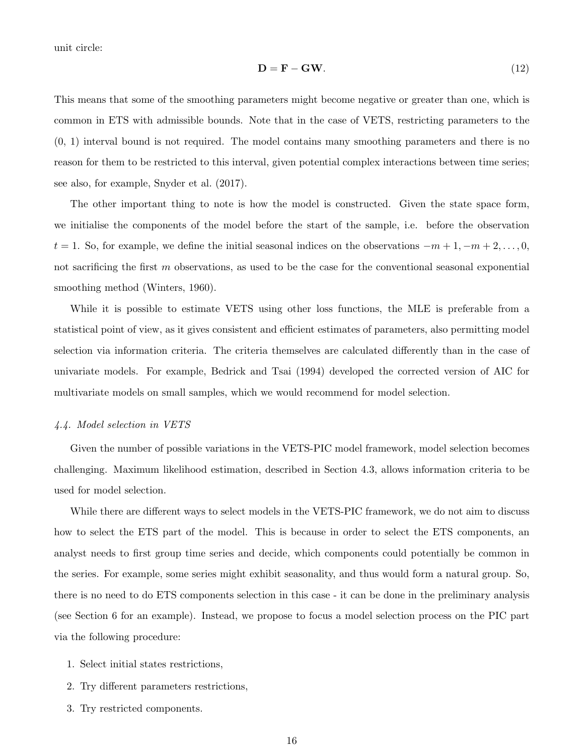unit circle:

$$
\mathbf{D} = \mathbf{F} - \mathbf{G}\mathbf{W}.\tag{12}
$$

This means that some of the smoothing parameters might become negative or greater than one, which is common in ETS with admissible bounds. Note that in the case of VETS, restricting parameters to the (0, 1) interval bound is not required. The model contains many smoothing parameters and there is no reason for them to be restricted to this interval, given potential complex interactions between time series; see also, for example, Snyder et al. (2017).

The other important thing to note is how the model is constructed. Given the state space form, we initialise the components of the model before the start of the sample, i.e. before the observation  $t = 1$ . So, for example, we define the initial seasonal indices on the observations  $-m+1, -m+2, \ldots, 0$ , not sacrificing the first m observations, as used to be the case for the conventional seasonal exponential smoothing method (Winters, 1960).

While it is possible to estimate VETS using other loss functions, the MLE is preferable from a statistical point of view, as it gives consistent and efficient estimates of parameters, also permitting model selection via information criteria. The criteria themselves are calculated differently than in the case of univariate models. For example, Bedrick and Tsai (1994) developed the corrected version of AIC for multivariate models on small samples, which we would recommend for model selection.

## 4.4. Model selection in VETS

Given the number of possible variations in the VETS-PIC model framework, model selection becomes challenging. Maximum likelihood estimation, described in Section 4.3, allows information criteria to be used for model selection.

While there are different ways to select models in the VETS-PIC framework, we do not aim to discuss how to select the ETS part of the model. This is because in order to select the ETS components, an analyst needs to first group time series and decide, which components could potentially be common in the series. For example, some series might exhibit seasonality, and thus would form a natural group. So, there is no need to do ETS components selection in this case - it can be done in the preliminary analysis (see Section 6 for an example). Instead, we propose to focus a model selection process on the PIC part via the following procedure:

- 1. Select initial states restrictions,
- 2. Try different parameters restrictions,
- 3. Try restricted components.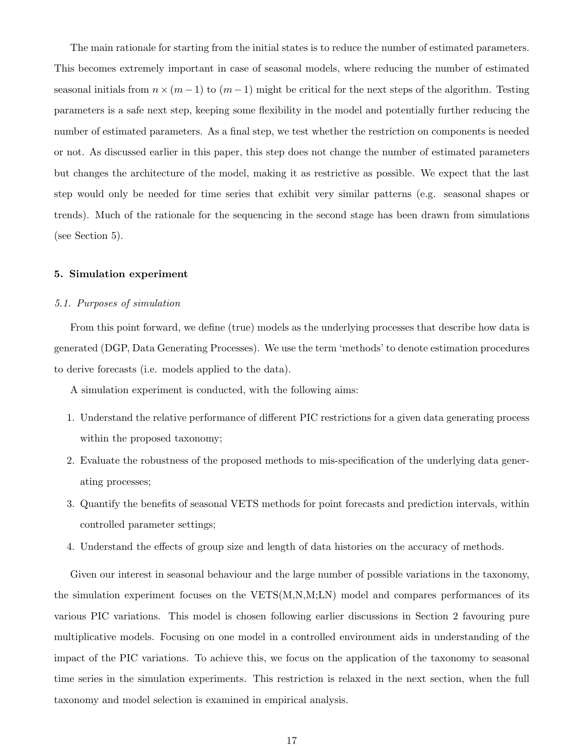The main rationale for starting from the initial states is to reduce the number of estimated parameters. This becomes extremely important in case of seasonal models, where reducing the number of estimated seasonal initials from  $n \times (m-1)$  to  $(m-1)$  might be critical for the next steps of the algorithm. Testing parameters is a safe next step, keeping some flexibility in the model and potentially further reducing the number of estimated parameters. As a final step, we test whether the restriction on components is needed or not. As discussed earlier in this paper, this step does not change the number of estimated parameters but changes the architecture of the model, making it as restrictive as possible. We expect that the last step would only be needed for time series that exhibit very similar patterns (e.g. seasonal shapes or trends). Much of the rationale for the sequencing in the second stage has been drawn from simulations (see Section 5).

#### 5. Simulation experiment

#### 5.1. Purposes of simulation

From this point forward, we define (true) models as the underlying processes that describe how data is generated (DGP, Data Generating Processes). We use the term 'methods' to denote estimation procedures to derive forecasts (i.e. models applied to the data).

A simulation experiment is conducted, with the following aims:

- 1. Understand the relative performance of different PIC restrictions for a given data generating process within the proposed taxonomy;
- 2. Evaluate the robustness of the proposed methods to mis-specification of the underlying data generating processes;
- 3. Quantify the benefits of seasonal VETS methods for point forecasts and prediction intervals, within controlled parameter settings;
- 4. Understand the effects of group size and length of data histories on the accuracy of methods.

Given our interest in seasonal behaviour and the large number of possible variations in the taxonomy, the simulation experiment focuses on the VETS(M,N,M;LN) model and compares performances of its various PIC variations. This model is chosen following earlier discussions in Section 2 favouring pure multiplicative models. Focusing on one model in a controlled environment aids in understanding of the impact of the PIC variations. To achieve this, we focus on the application of the taxonomy to seasonal time series in the simulation experiments. This restriction is relaxed in the next section, when the full taxonomy and model selection is examined in empirical analysis.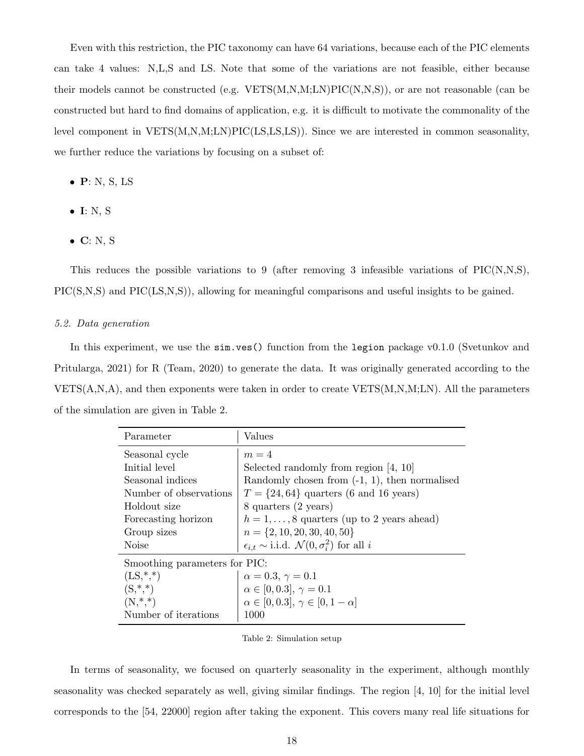Even with this restriction, the PIC taxonomy can have 64 variations, because each of the PIC elements can take 4 values: N,L,S and LS. Note that some of the variations are not feasible, either because their models cannot be constructed (e.g.  $VETS(M,N,M;LN)PC(N,N,S)$ ), or are not reasonable (can be constructed but hard to find domains of application, e.g. it is difficult to motivate the commonality of the level component in VETS(M,N,M;LN)PIC(LS,LS,LS)). Since we are interested in common seasonality, we further reduce the variations by focusing on a subset of:

- $\bullet$  P: N, S, LS
- $\bullet$  I: N, S
- $\bullet$  C: N, S

This reduces the possible variations to 9 (after removing 3 infeasible variations of  $\text{PIC}(N,N,S)$ , PIC(S,N,S) and PIC(LS,N,S)), allowing for meaningful comparisons and useful insights to be gained.

#### 5.2. Data generation

In this experiment, we use the sim.ves () function from the legion package v0.1.0 (Svetunkov and Pritularga, 2021) for R (Team, 2020) to generate the data. It was originally generated according to the  $VETS(A,N,A)$ , and then exponents were taken in order to create  $VETS(M,N,M;LN)$ . All the parameters of the simulation are given in Table 2.

| Parameter                     | Values                                                              |
|-------------------------------|---------------------------------------------------------------------|
| Seasonal cycle                | $m=4$                                                               |
| Initial level                 | Selected randomly from region $[4, 10]$                             |
| Seasonal indices              | Randomly chosen from $(-1, 1)$ , then normalised                    |
| Number of observations        | $T = \{24, 64\}$ quarters (6 and 16 years)                          |
| Holdout size                  | 8 quarters (2 years)                                                |
| Forecasting horizon           | $h = 1, \ldots, 8$ quarters (up to 2 years ahead)                   |
| Group sizes                   | $n = \{2, 10, 20, 30, 40, 50\}$                                     |
| Noise                         | $\epsilon_{i,t} \sim$ i.i.d. $\mathcal{N}(0, \sigma_i^2)$ for all i |
| Smoothing parameters for PIC: |                                                                     |
| $(LS, *, *)$                  | $\alpha = 0.3, \gamma = 0.1$                                        |
| $(S,*,*)$                     | $\alpha \in [0, 0.3], \gamma = 0.1$                                 |
| $(N,*,*)$                     | $\alpha \in [0, 0.3], \gamma \in [0, 1 - \alpha]$                   |
| Number of iterations          | 1000                                                                |

| Table 2: Simulation setup |  |  |
|---------------------------|--|--|
|---------------------------|--|--|

In terms of seasonality, we focused on quarterly seasonality in the experiment, although monthly seasonality was checked separately as well, giving similar findings. The region [4, 10] for the initial level corresponds to the [54, 22000] region after taking the exponent. This covers many real life situations for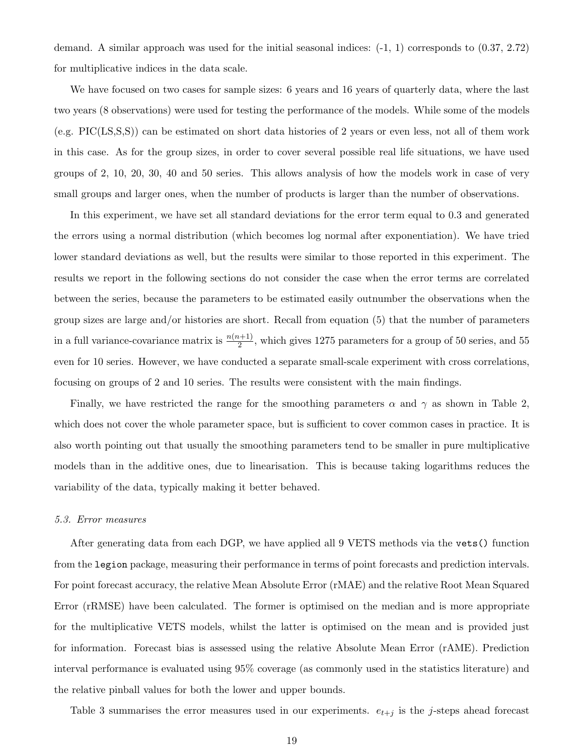demand. A similar approach was used for the initial seasonal indices:  $(-1, 1)$  corresponds to  $(0.37, 2.72)$ for multiplicative indices in the data scale.

We have focused on two cases for sample sizes: 6 years and 16 years of quarterly data, where the last two years (8 observations) were used for testing the performance of the models. While some of the models (e.g. PIC(LS,S,S)) can be estimated on short data histories of 2 years or even less, not all of them work in this case. As for the group sizes, in order to cover several possible real life situations, we have used groups of 2, 10, 20, 30, 40 and 50 series. This allows analysis of how the models work in case of very small groups and larger ones, when the number of products is larger than the number of observations.

In this experiment, we have set all standard deviations for the error term equal to 0.3 and generated the errors using a normal distribution (which becomes log normal after exponentiation). We have tried lower standard deviations as well, but the results were similar to those reported in this experiment. The results we report in the following sections do not consider the case when the error terms are correlated between the series, because the parameters to be estimated easily outnumber the observations when the group sizes are large and/or histories are short. Recall from equation (5) that the number of parameters in a full variance-covariance matrix is  $\frac{n(n+1)}{2}$ , which gives 1275 parameters for a group of 50 series, and 55 even for 10 series. However, we have conducted a separate small-scale experiment with cross correlations, focusing on groups of 2 and 10 series. The results were consistent with the main findings.

Finally, we have restricted the range for the smoothing parameters  $\alpha$  and  $\gamma$  as shown in Table 2, which does not cover the whole parameter space, but is sufficient to cover common cases in practice. It is also worth pointing out that usually the smoothing parameters tend to be smaller in pure multiplicative models than in the additive ones, due to linearisation. This is because taking logarithms reduces the variability of the data, typically making it better behaved.

#### 5.3. Error measures

After generating data from each DGP, we have applied all 9 VETS methods via the vets() function from the legion package, measuring their performance in terms of point forecasts and prediction intervals. For point forecast accuracy, the relative Mean Absolute Error (rMAE) and the relative Root Mean Squared Error (rRMSE) have been calculated. The former is optimised on the median and is more appropriate for the multiplicative VETS models, whilst the latter is optimised on the mean and is provided just for information. Forecast bias is assessed using the relative Absolute Mean Error (rAME). Prediction interval performance is evaluated using 95% coverage (as commonly used in the statistics literature) and the relative pinball values for both the lower and upper bounds.

Table 3 summarises the error measures used in our experiments.  $e_{t+j}$  is the j-steps ahead forecast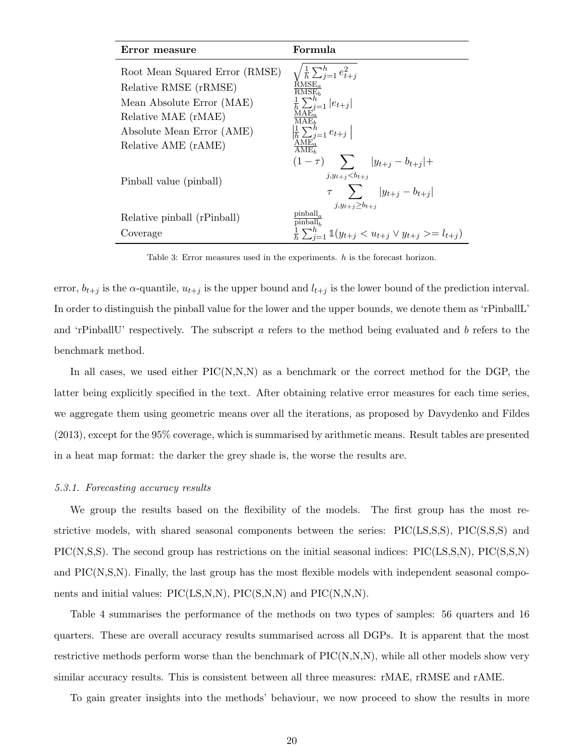| Error measure                                                                                                                            | Formula                                                                                                                                                                                                     |
|------------------------------------------------------------------------------------------------------------------------------------------|-------------------------------------------------------------------------------------------------------------------------------------------------------------------------------------------------------------|
| Root Mean Squared Error (RMSE)<br>Relative RMSE (rRMSE)<br>Mean Absolute Error (MAE)<br>Relative MAE (rMAE)<br>Absolute Mean Error (AME) | $\sqrt{\frac{1}{h}\sum_{j=1}^{h}e_{t+j}^2}$ RMSE <sub>a</sub><br>RMSE <sub>b</sub><br>$\frac{1}{h} \sum_{j=1}^{h}  e_{t+j} $<br>MAE.<br>MAE <sub>b</sub><br>$\left \frac{1}{h}\sum_{j=1}^{h}e_{t+j}\right $ |
| Relative AME (rAME)                                                                                                                      | AME.<br>$\overline{\text{AME}}$                                                                                                                                                                             |
| Pinball value (pinball)                                                                                                                  | $(1 - \tau)$ $\sum$ $ y_{t+j} - b_{t+j}  +$<br>$j, y_{t+i} < b_{t+i}$<br>$\tau \sum  y_{t+j} - b_{t+j} $<br>$j, y_{t+i} \geq b_{t+i}$                                                                       |
| Relative pinball (rPinball)                                                                                                              | pinball <sub>a</sub><br>pinball <sub>b</sub>                                                                                                                                                                |
| Coverage                                                                                                                                 | $\frac{1}{h}\sum_{i=1}^h \mathbb{1}(y_{t+j} < u_{t+j} \vee y_{t+j} > = l_{t+j})$                                                                                                                            |

Table 3: Error measures used in the experiments. h is the forecast horizon.

error,  $b_{t+j}$  is the  $\alpha$ -quantile,  $u_{t+j}$  is the upper bound and  $l_{t+j}$  is the lower bound of the prediction interval. In order to distinguish the pinball value for the lower and the upper bounds, we denote them as 'rPinballL' and 'rPinballU' respectively. The subscript a refers to the method being evaluated and b refers to the benchmark method.

In all cases, we used either  $\text{PIC}(N,N,N)$  as a benchmark or the correct method for the DGP, the latter being explicitly specified in the text. After obtaining relative error measures for each time series, we aggregate them using geometric means over all the iterations, as proposed by Davydenko and Fildes (2013), except for the 95% coverage, which is summarised by arithmetic means. Result tables are presented in a heat map format: the darker the grey shade is, the worse the results are.

#### 5.3.1. Forecasting accuracy results

We group the results based on the flexibility of the models. The first group has the most restrictive models, with shared seasonal components between the series: PIC(LS,S,S), PIC(S,S,S) and PIC(N,S,S). The second group has restrictions on the initial seasonal indices: PIC(LS,S,N), PIC(S,S,N) and  $\text{PIC}(N,S,N)$ . Finally, the last group has the most flexible models with independent seasonal components and initial values: PIC(LS,N,N), PIC(S,N,N) and PIC(N,N,N).

Table 4 summarises the performance of the methods on two types of samples: 56 quarters and 16 quarters. These are overall accuracy results summarised across all DGPs. It is apparent that the most restrictive methods perform worse than the benchmark of  $\text{PIC}(N,N,N)$ , while all other models show very similar accuracy results. This is consistent between all three measures: rMAE, rRMSE and rAME.

To gain greater insights into the methods' behaviour, we now proceed to show the results in more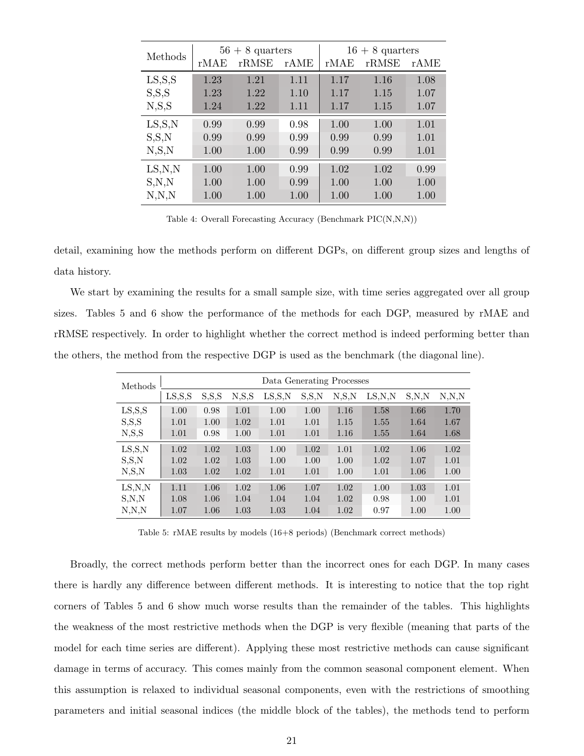|          |      | $56 + 8$ quarters |      | $16 + 8$ quarters |       |      |  |
|----------|------|-------------------|------|-------------------|-------|------|--|
| Methods  | rMAE | rRMSE             | rAME | rMAE              | rRMSE | rAME |  |
| LS, S, S | 1.23 | 1.21              | 1.11 | 1.17              | 1.16  | 1.08 |  |
| S, S, S  | 1.23 | 1.22              | 1.10 | 1.17              | 1.15  | 1.07 |  |
| N, S, S  | 1.24 | 1.22              | 1.11 | 1.17              | 1.15  | 1.07 |  |
| LS, S, N | 0.99 | 0.99              | 0.98 | 1.00              | 1.00  | 1.01 |  |
| S, S, N  | 0.99 | 0.99              | 0.99 | 0.99              | 0.99  | 1.01 |  |
| N, S, N  | 1.00 | 1.00              | 0.99 | 0.99              | 0.99  | 1.01 |  |
| LS, N, N | 1.00 | 1.00              | 0.99 | 1.02              | 1.02  | 0.99 |  |
| S, N, N  | 1.00 | 1.00              | 0.99 | 1.00              | 1.00  | 1.00 |  |
| N, N, N  | 1.00 | 1.00              | 1.00 | 1.00              | 1.00  | 1.00 |  |

Table 4: Overall Forecasting Accuracy (Benchmark PIC(N,N,N))

detail, examining how the methods perform on different DGPs, on different group sizes and lengths of data history.

We start by examining the results for a small sample size, with time series aggregated over all group sizes. Tables 5 and 6 show the performance of the methods for each DGP, measured by rMAE and rRMSE respectively. In order to highlight whether the correct method is indeed performing better than the others, the method from the respective DGP is used as the benchmark (the diagonal line).

| Methods  |                   |         |                | Data Generating Processes |         |       |        |       |         |
|----------|-------------------|---------|----------------|---------------------------|---------|-------|--------|-------|---------|
|          | $_{\rm LS, S, S}$ | S, S, S | $_{\rm N,S,S}$ | $_{\rm LS, S, N}$         | S, S, N | N.S.N | LS.N.N | S.N.N | N, N, N |
| LS, S, S | 1.00              | 0.98    | 1.01           | 1.00                      | 1.00    | 1.16  | 1.58   | 1.66  | 1.70    |
| S.S.S    | 1.01              | 1.00    | 1.02           | 1.01                      | 1.01    | 1.15  | 1.55   | 1.64  | 1.67    |
| N, S, S  | 1.01              | 0.98    | 1.00           | 1.01                      | 1.01    | 1.16  | 1.55   | 1.64  | 1.68    |
| LS, S, N | 1.02              | 1.02    | 1.03           | 1.00                      | 1.02    | 1.01  | 1.02   | 1.06  | 1.02    |
| S, S, N  | 1.02              | 1.02    | 1.03           | 1.00                      | 1.00    | 1.00  | 1.02   | 1.07  | 1.01    |
| N, S, N  | 1.03              | 1.02    | 1.02           | 1.01                      | 1.01    | 1.00  | 1.01   | 1.06  | 1.00    |
| LS, N, N | 1.11              | 1.06    | 1.02           | 1.06                      | 1.07    | 1.02  | 1.00   | 1.03  | 1.01    |
| S, N, N  | 1.08              | 1.06    | 1.04           | 1.04                      | 1.04    | 1.02  | 0.98   | 1.00  | 1.01    |
| N, N, N  | 1.07              | 1.06    | 1.03           | 1.03                      | 1.04    | 1.02  | 0.97   | 1.00  | 1.00    |

Table 5: rMAE results by models (16+8 periods) (Benchmark correct methods)

Broadly, the correct methods perform better than the incorrect ones for each DGP. In many cases there is hardly any difference between different methods. It is interesting to notice that the top right corners of Tables 5 and 6 show much worse results than the remainder of the tables. This highlights the weakness of the most restrictive methods when the DGP is very flexible (meaning that parts of the model for each time series are different). Applying these most restrictive methods can cause significant damage in terms of accuracy. This comes mainly from the common seasonal component element. When this assumption is relaxed to individual seasonal components, even with the restrictions of smoothing parameters and initial seasonal indices (the middle block of the tables), the methods tend to perform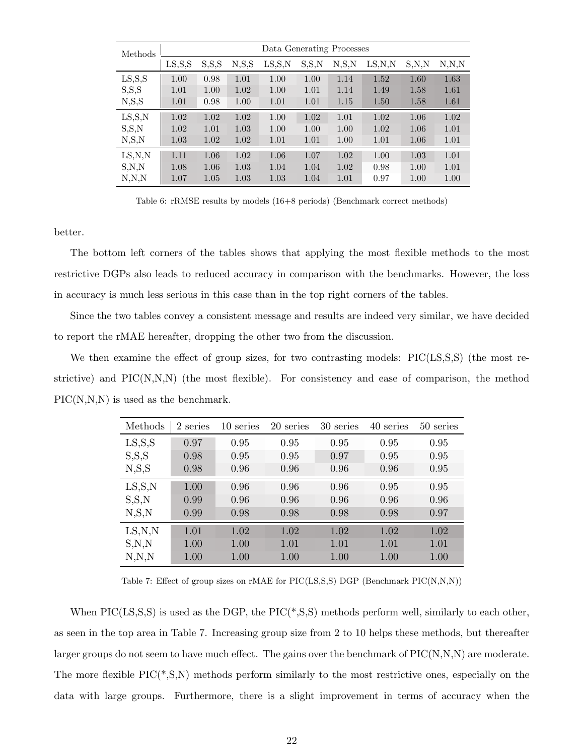| Methods                          |                   |         |       | Data Generating Processes |         |         |                 |         |         |
|----------------------------------|-------------------|---------|-------|---------------------------|---------|---------|-----------------|---------|---------|
|                                  | $_{\rm LS, S, S}$ | S, S, S | N,S,S | $_{\rm LS, S, N}$         | S, S, N | N, S, N | $_{\rm LS,N,N}$ | S, N, N | N, N, N |
| LS, S, S                         | 1.00              | 0.98    | 1.01  | 1.00                      | 1.00    | 1.14    | 1.52            | 1.60    | 1.63    |
| S, S, S                          | 1.01              | 1.00    | 1.02  | 1.00                      | 1.01    | 1.14    | 1.49            | 1.58    | 1.61    |
| N, S, S                          | 1.01              | 0.98    | 1.00  | 1.01                      | 1.01    | 1.15    | 1.50            | 1.58    | 1.61    |
| $_{\text{LS},\text{S},\text{N}}$ | 1.02              | 1.02    | 1.02  | 1.00                      | 1.02    | 1.01    | 1.02            | 1.06    | 1.02    |
| S, S, N                          | 1.02              | 1.01    | 1.03  | 1.00                      | 1.00    | 1.00    | 1.02            | 1.06    | 1.01    |
| N, S, N                          | 1.03              | 1.02    | 1.02  | 1.01                      | 1.01    | 1.00    | 1.01            | 1.06    | 1.01    |
| LS, N, N                         | 1.11              | 1.06    | 1.02  | 1.06                      | 1.07    | 1.02    | 1.00            | 1.03    | 1.01    |
| S, N, N                          | 1.08              | 1.06    | 1.03  | 1.04                      | 1.04    | 1.02    | 0.98            | 1.00    | 1.01    |
| N, N, N                          | 1.07              | 1.05    | 1.03  | 1.03                      | 1.04    | 1.01    | 0.97            | 1.00    | 1.00    |

Table 6: rRMSE results by models (16+8 periods) (Benchmark correct methods)

better.

The bottom left corners of the tables shows that applying the most flexible methods to the most restrictive DGPs also leads to reduced accuracy in comparison with the benchmarks. However, the loss in accuracy is much less serious in this case than in the top right corners of the tables.

Since the two tables convey a consistent message and results are indeed very similar, we have decided to report the rMAE hereafter, dropping the other two from the discussion.

We then examine the effect of group sizes, for two contrasting models: PIC(LS,S,S) (the most restrictive) and  $\text{PIC}(N,N,N)$  (the most flexible). For consistency and ease of comparison, the method PIC(N,N,N) is used as the benchmark.

| Methods  | 2 series | 10 series | 20 series | 30 series | 40 series | 50 series |
|----------|----------|-----------|-----------|-----------|-----------|-----------|
| LS, S, S | 0.97     | 0.95      | 0.95      | 0.95      | 0.95      | 0.95      |
| S, S, S  | 0.98     | 0.95      | 0.95      | 0.97      | 0.95      | 0.95      |
| N, S, S  | 0.98     | 0.96      | 0.96      | 0.96      | 0.96      | 0.95      |
| LS, S, N | 1.00     | 0.96      | 0.96      | 0.96      | 0.95      | 0.95      |
| S, S, N  | 0.99     | 0.96      | 0.96      | 0.96      | 0.96      | 0.96      |
| N, S, N  | 0.99     | 0.98      | 0.98      | 0.98      | 0.98      | 0.97      |
| LS, N, N | 1.01     | 1.02      | 1.02      | 1.02      | 1.02      | 1.02      |
| S, N, N  | 1.00     | 1.00      | 1.01      | 1.01      | 1.01      | 1.01      |
| N, N, N  | 1.00     | 1.00      | 1.00      | 1.00      | 1.00      | 1.00      |

Table 7: Effect of group sizes on rMAE for  $\text{PIC}(\text{LS}, S, S)$  DGP (Benchmark  $\text{PIC}(N, N, N)$ )

When  $\text{PIC}(LS,S,S)$  is used as the DGP, the  $\text{PIC}(*,S,S)$  methods perform well, similarly to each other, as seen in the top area in Table 7. Increasing group size from 2 to 10 helps these methods, but thereafter larger groups do not seem to have much effect. The gains over the benchmark of  $\text{PIC}(N,N,N)$  are moderate. The more flexible PIC(\*,S,N) methods perform similarly to the most restrictive ones, especially on the data with large groups. Furthermore, there is a slight improvement in terms of accuracy when the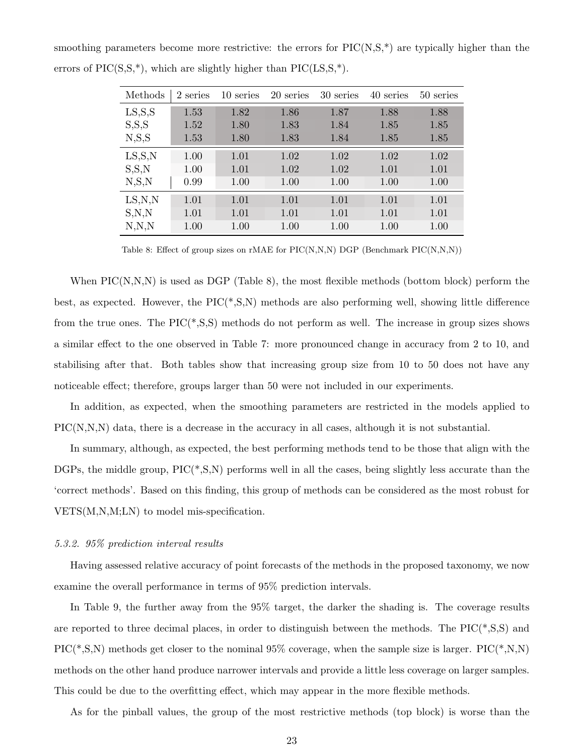| Methods  | 2 series | 10 series | 20 series | 30 series | 40 series | 50 series |
|----------|----------|-----------|-----------|-----------|-----------|-----------|
| LS, S, S | 1.53     | 1.82      | 1.86      | 1.87      | 1.88      | 1.88      |
| S, S, S  | 1.52     | 1.80      | 1.83      | 1.84      | 1.85      | 1.85      |
| N, S, S  | 1.53     | 1.80      | 1.83      | 1.84      | 1.85      | 1.85      |
| LS, S, N | 1.00     | 1.01      | 1.02      | 1.02      | 1.02      | 1.02      |
| S, S, N  | 1.00     | 1.01      | 1.02      | 1.02      | 1.01      | 1.01      |
| N, S, N  | 0.99     | 1.00      | 1.00      | 1.00      | 1.00      | 1.00      |
| LS, N, N | 1.01     | 1.01      | 1.01      | 1.01      | 1.01      | 1.01      |
| S, N, N  | 1.01     | 1.01      | 1.01      | 1.01      | 1.01      | 1.01      |
| N, N, N  | 1.00     | 1.00      | 1.00      | 1.00      | 1.00      | 1.00      |

smoothing parameters become more restrictive: the errors for  $\text{PIC}(N,S,^*)$  are typically higher than the errors of  $\text{PIC}(S,S,*)$ , which are slightly higher than  $\text{PIC}(LS,S,*)$ .

Table 8: Effect of group sizes on rMAE for  $\text{PIC}(N,N,N)$  DGP (Benchmark  $\text{PIC}(N,N,N)$ )

When  $\text{PIC}(N,N,N)$  is used as DGP (Table 8), the most flexible methods (bottom block) perform the best, as expected. However, the PIC(\*,S,N) methods are also performing well, showing little difference from the true ones. The PIC(\*,S,S) methods do not perform as well. The increase in group sizes shows a similar effect to the one observed in Table 7: more pronounced change in accuracy from 2 to 10, and stabilising after that. Both tables show that increasing group size from 10 to 50 does not have any noticeable effect; therefore, groups larger than 50 were not included in our experiments.

In addition, as expected, when the smoothing parameters are restricted in the models applied to PIC(N,N,N) data, there is a decrease in the accuracy in all cases, although it is not substantial.

In summary, although, as expected, the best performing methods tend to be those that align with the DGPs, the middle group, PIC(\*,S,N) performs well in all the cases, being slightly less accurate than the 'correct methods'. Based on this finding, this group of methods can be considered as the most robust for VETS(M,N,M;LN) to model mis-specification.

#### 5.3.2. 95% prediction interval results

Having assessed relative accuracy of point forecasts of the methods in the proposed taxonomy, we now examine the overall performance in terms of 95% prediction intervals.

In Table 9, the further away from the 95% target, the darker the shading is. The coverage results are reported to three decimal places, in order to distinguish between the methods. The  $\text{PIC}(*, S, S)$  and PIC(\*,S,N) methods get closer to the nominal  $95\%$  coverage, when the sample size is larger. PIC(\*,N,N) methods on the other hand produce narrower intervals and provide a little less coverage on larger samples. This could be due to the overfitting effect, which may appear in the more flexible methods.

As for the pinball values, the group of the most restrictive methods (top block) is worse than the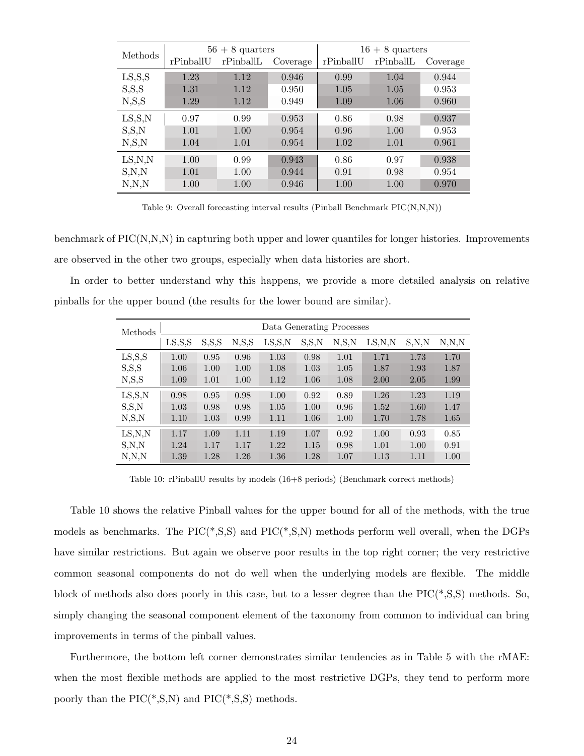| Methods           |           | $56 + 8$ quarters |          | $16 + 8$ quarters |           |          |  |
|-------------------|-----------|-------------------|----------|-------------------|-----------|----------|--|
|                   | rPinballU | rPinballL         | Coverage | rPinballU         | rPinballL | Coverage |  |
| $_{\rm LS, S, S}$ | 1.23      | 1.12              | 0.946    | 0.99              | 1.04      | 0.944    |  |
| S, S, S           | 1.31      | 1.12              | 0.950    | 1.05              | 1.05      | 0.953    |  |
| N, S, S           | 1.29      | 1.12              | 0.949    | 1.09              | 1.06      | 0.960    |  |
| LS, S, N          | 0.97      | 0.99              | 0.953    | 0.86              | 0.98      | 0.937    |  |
| S, S, N           | 1.01      | 1.00              | 0.954    | 0.96              | 1.00      | 0.953    |  |
| N, S, N           | 1.04      | 1.01              | 0.954    | 1.02              | 1.01      | 0.961    |  |
| LS, N, N          | 1.00      | 0.99              | 0.943    | 0.86              | 0.97      | 0.938    |  |
| S, N, N           | 1.01      | 1.00              | 0.944    | 0.91              | 0.98      | 0.954    |  |
| N, N, N           | 1.00      | 1.00              | 0.946    | 1.00              | 1.00      | 0.970    |  |

Table 9: Overall forecasting interval results (Pinball Benchmark PIC(N,N,N))

benchmark of PIC(N,N,N) in capturing both upper and lower quantiles for longer histories. Improvements are observed in the other two groups, especially when data histories are short.

In order to better understand why this happens, we provide a more detailed analysis on relative pinballs for the upper bound (the results for the lower bound are similar).

| Methods                          | Data Generating Processes |         |                |                   |         |                |                 |         |         |
|----------------------------------|---------------------------|---------|----------------|-------------------|---------|----------------|-----------------|---------|---------|
|                                  | $_{\rm LS, S, S}$         | S, S, S | $_{\rm N,S,S}$ | $_{\rm LS, S, N}$ | S, S, N | $_{\rm N,S,N}$ | $_{\rm LS,N,N}$ | S, N, N | N, N, N |
| $_{\rm LS, S, S}$                | 1.00                      | 0.95    | 0.96           | 1.03              | 0.98    | 1.01           | 1.71            | 1.73    | 1.70    |
| S, S, S                          | 1.06                      | 1.00    | 1.00           | 1.08              | 1.03    | 1.05           | 1.87            | 1.93    | 1.87    |
| N, S, S                          | 1.09                      | 1.01    | 1.00           | 1.12              | 1.06    | 1.08           | 2.00            | 2.05    | 1.99    |
| $_{\text{LS},\text{S},\text{N}}$ | 0.98                      | 0.95    | 0.98           | 1.00              | 0.92    | 0.89           | 1.26            | 1.23    | 1.19    |
| S, S, N                          | 1.03                      | 0.98    | 0.98           | 1.05              | 1.00    | 0.96           | 1.52            | 1.60    | 1.47    |
| N, S, N                          | 1.10                      | 1.03    | 0.99           | 1.11              | 1.06    | 1.00           | 1.70            | 1.78    | 1.65    |
| $_{\rm LS,N,N}$                  | 1.17                      | 1.09    | 1.11           | 1.19              | 1.07    | 0.92           | 1.00            | 0.93    | 0.85    |
| S, N, N                          | 1.24                      | 1.17    | 1.17           | 1.22              | 1.15    | 0.98           | 1.01            | 1.00    | 0.91    |
| N, N, N                          | 1.39                      | 1.28    | 1.26           | 1.36              | 1.28    | 1.07           | 1.13            | 1.11    | 1.00    |

Table 10: rPinballU results by models (16+8 periods) (Benchmark correct methods)

Table 10 shows the relative Pinball values for the upper bound for all of the methods, with the true models as benchmarks. The PIC(\*,S,S) and PIC(\*,S,N) methods perform well overall, when the DGPs have similar restrictions. But again we observe poor results in the top right corner; the very restrictive common seasonal components do not do well when the underlying models are flexible. The middle block of methods also does poorly in this case, but to a lesser degree than the PIC(\*,S,S) methods. So, simply changing the seasonal component element of the taxonomy from common to individual can bring improvements in terms of the pinball values.

Furthermore, the bottom left corner demonstrates similar tendencies as in Table 5 with the rMAE: when the most flexible methods are applied to the most restrictive DGPs, they tend to perform more poorly than the  $\text{PIC}(*, S, N)$  and  $\text{PIC}(*, S, S)$  methods.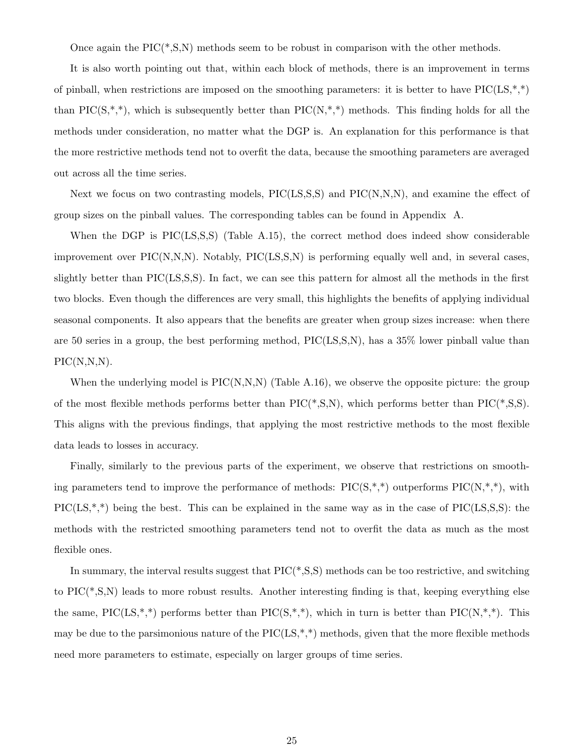Once again the  $\text{PIC}(*, S, N)$  methods seem to be robust in comparison with the other methods.

It is also worth pointing out that, within each block of methods, there is an improvement in terms of pinball, when restrictions are imposed on the smoothing parameters: it is better to have  $\text{PIC(LS,*,*)}$ than PIC( $S,^*,^*$ ), which is subsequently better than PIC( $N,^*,^*$ ) methods. This finding holds for all the methods under consideration, no matter what the DGP is. An explanation for this performance is that the more restrictive methods tend not to overfit the data, because the smoothing parameters are averaged out across all the time series.

Next we focus on two contrasting models, PIC(LS, S, S) and PIC(N, N, N), and examine the effect of group sizes on the pinball values. The corresponding tables can be found in Appendix A.

When the DGP is PIC(LS, S, S) (Table A.15), the correct method does indeed show considerable improvement over PIC(N,N,N). Notably, PIC(LS,S,N) is performing equally well and, in several cases, slightly better than PIC(LS,S,S). In fact, we can see this pattern for almost all the methods in the first two blocks. Even though the differences are very small, this highlights the benefits of applying individual seasonal components. It also appears that the benefits are greater when group sizes increase: when there are 50 series in a group, the best performing method, PIC(LS,S,N), has a 35% lower pinball value than  $\text{PIC}(N,N,N)$ .

When the underlying model is  $\text{PIC}(N,N,N)$  (Table A.16), we observe the opposite picture: the group of the most flexible methods performs better than  $\text{PIC}(*, S, N)$ , which performs better than  $\text{PIC}(*, S, S)$ . This aligns with the previous findings, that applying the most restrictive methods to the most flexible data leads to losses in accuracy.

Finally, similarly to the previous parts of the experiment, we observe that restrictions on smoothing parameters tend to improve the performance of methods:  $\text{PIC}(S,*,*)$  outperforms  $\text{PIC}(N,*,*)$ , with  $\text{PIC}(LS,*,*)$  being the best. This can be explained in the same way as in the case of  $\text{PIC}(LS,S,S)$ : the methods with the restricted smoothing parameters tend not to overfit the data as much as the most flexible ones.

In summary, the interval results suggest that  $\text{PIC}(*, S, S)$  methods can be too restrictive, and switching to  $\text{PIC}(*, S, N)$  leads to more robust results. Another interesting finding is that, keeping everything else the same, PIC(LS,\*,\*) performs better than PIC(S,\*,\*), which in turn is better than PIC(N,\*,\*). This may be due to the parsimonious nature of the  $\text{PIC}(LS, *, *)$  methods, given that the more flexible methods need more parameters to estimate, especially on larger groups of time series.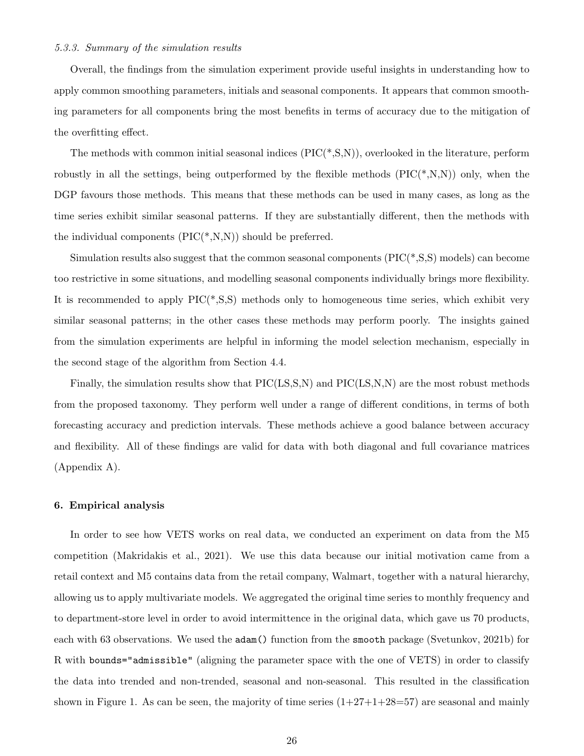#### 5.3.3. Summary of the simulation results

Overall, the findings from the simulation experiment provide useful insights in understanding how to apply common smoothing parameters, initials and seasonal components. It appears that common smoothing parameters for all components bring the most benefits in terms of accuracy due to the mitigation of the overfitting effect.

The methods with common initial seasonal indices  $(PIC(*, S, N))$ , overlooked in the literature, perform robustly in all the settings, being outperformed by the flexible methods  $(PIC(*, N, N))$  only, when the DGP favours those methods. This means that these methods can be used in many cases, as long as the time series exhibit similar seasonal patterns. If they are substantially different, then the methods with the individual components  $(PIC(*, N, N))$  should be preferred.

Simulation results also suggest that the common seasonal components  $(PIC(*, S, S)$  models) can become too restrictive in some situations, and modelling seasonal components individually brings more flexibility. It is recommended to apply  $\text{PIC}(*, S, S)$  methods only to homogeneous time series, which exhibit very similar seasonal patterns; in the other cases these methods may perform poorly. The insights gained from the simulation experiments are helpful in informing the model selection mechanism, especially in the second stage of the algorithm from Section 4.4.

Finally, the simulation results show that PIC(LS,S,N) and PIC(LS,N,N) are the most robust methods from the proposed taxonomy. They perform well under a range of different conditions, in terms of both forecasting accuracy and prediction intervals. These methods achieve a good balance between accuracy and flexibility. All of these findings are valid for data with both diagonal and full covariance matrices (Appendix A).

#### 6. Empirical analysis

In order to see how VETS works on real data, we conducted an experiment on data from the M5 competition (Makridakis et al., 2021). We use this data because our initial motivation came from a retail context and M5 contains data from the retail company, Walmart, together with a natural hierarchy, allowing us to apply multivariate models. We aggregated the original time series to monthly frequency and to department-store level in order to avoid intermittence in the original data, which gave us 70 products, each with 63 observations. We used the **adam**() function from the **smooth** package (Svetunkov, 2021b) for R with bounds="admissible" (aligning the parameter space with the one of VETS) in order to classify the data into trended and non-trended, seasonal and non-seasonal. This resulted in the classification shown in Figure 1. As can be seen, the majority of time series  $(1+27+1+28=57)$  are seasonal and mainly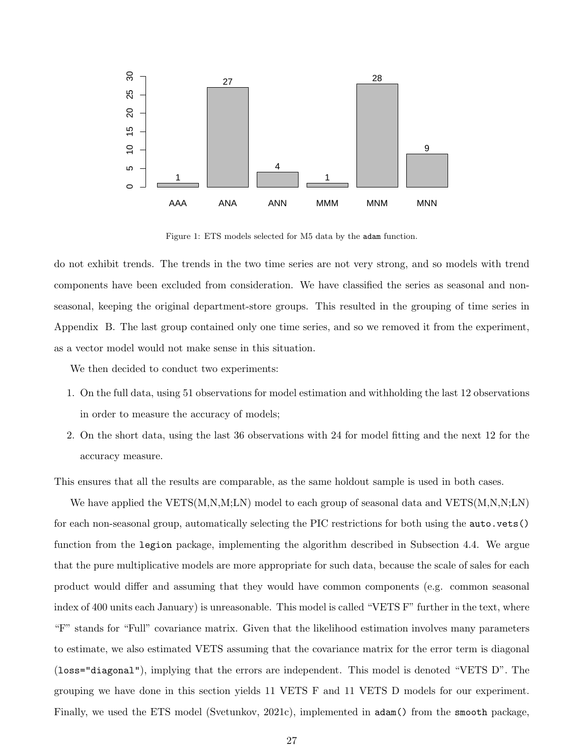

Figure 1: ETS models selected for M5 data by the adam function.

do not exhibit trends. The trends in the two time series are not very strong, and so models with trend components have been excluded from consideration. We have classified the series as seasonal and nonseasonal, keeping the original department-store groups. This resulted in the grouping of time series in Appendix B. The last group contained only one time series, and so we removed it from the experiment, as a vector model would not make sense in this situation.

We then decided to conduct two experiments:

- 1. On the full data, using 51 observations for model estimation and withholding the last 12 observations in order to measure the accuracy of models;
- 2. On the short data, using the last 36 observations with 24 for model fitting and the next 12 for the accuracy measure.

This ensures that all the results are comparable, as the same holdout sample is used in both cases.

We have applied the  $VETS(M,N,M;LN)$  model to each group of seasonal data and  $VETS(M,N,N;LN)$ for each non-seasonal group, automatically selecting the PIC restrictions for both using the auto.vets() function from the legion package, implementing the algorithm described in Subsection 4.4. We argue that the pure multiplicative models are more appropriate for such data, because the scale of sales for each product would differ and assuming that they would have common components (e.g. common seasonal index of 400 units each January) is unreasonable. This model is called "VETS F" further in the text, where "F" stands for "Full" covariance matrix. Given that the likelihood estimation involves many parameters to estimate, we also estimated VETS assuming that the covariance matrix for the error term is diagonal (loss="diagonal"), implying that the errors are independent. This model is denoted "VETS D". The grouping we have done in this section yields 11 VETS F and 11 VETS D models for our experiment. Finally, we used the ETS model (Svetunkov, 2021c), implemented in adam() from the smooth package,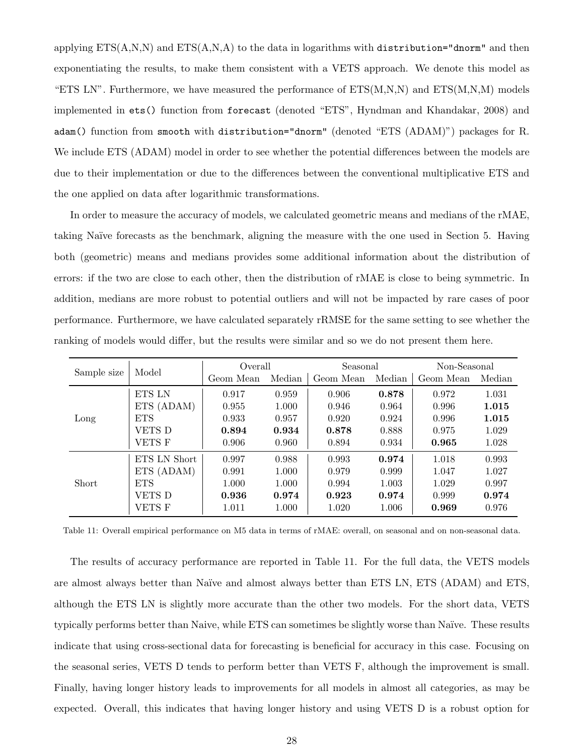applying  $ETS(A,N,N)$  and  $ETS(A,N,A)$  to the data in logarithms with distribution="dnorm" and then exponentiating the results, to make them consistent with a VETS approach. We denote this model as "ETS LN". Furthermore, we have measured the performance of  $ETS(M,N,N)$  and  $ETS(M,N,M)$  models implemented in ets() function from forecast (denoted "ETS", Hyndman and Khandakar, 2008) and adam() function from smooth with distribution="dnorm" (denoted "ETS (ADAM)") packages for R. We include ETS (ADAM) model in order to see whether the potential differences between the models are due to their implementation or due to the differences between the conventional multiplicative ETS and the one applied on data after logarithmic transformations.

In order to measure the accuracy of models, we calculated geometric means and medians of the rMAE, taking Na¨ıve forecasts as the benchmark, aligning the measure with the one used in Section 5. Having both (geometric) means and medians provides some additional information about the distribution of errors: if the two are close to each other, then the distribution of rMAE is close to being symmetric. In addition, medians are more robust to potential outliers and will not be impacted by rare cases of poor performance. Furthermore, we have calculated separately rRMSE for the same setting to see whether the ranking of models would differ, but the results were similar and so we do not present them here.

| Sample size | Model         | Overall   |        | Seasonal  |        | Non-Seasonal |        |  |
|-------------|---------------|-----------|--------|-----------|--------|--------------|--------|--|
|             |               | Geom Mean | Median | Geom Mean | Median | Geom Mean    | Median |  |
|             | <b>ETS LN</b> | 0.917     | 0.959  | 0.906     | 0.878  | 0.972        | 1.031  |  |
|             | ETS (ADAM)    | 0.955     | 1.000  | 0.946     | 0.964  | 0.996        | 1.015  |  |
| Long        | <b>ETS</b>    | 0.933     | 0.957  | 0.920     | 0.924  | 0.996        | 1.015  |  |
|             | VETS D        | 0.894     | 0.934  | 0.878     | 0.888  | 0.975        | 1.029  |  |
|             | <b>VETS F</b> | 0.906     | 0.960  | 0.894     | 0.934  | 0.965        | 1.028  |  |
|             | ETS LN Short  | 0.997     | 0.988  | 0.993     | 0.974  | 1.018        | 0.993  |  |
|             | ETS (ADAM)    | 0.991     | 1.000  | 0.979     | 0.999  | 1.047        | 1.027  |  |
| Short       | <b>ETS</b>    | 1.000     | 1.000  | 0.994     | 1.003  | 1.029        | 0.997  |  |
|             | VETS D        | 0.936     | 0.974  | 0.923     | 0.974  | 0.999        | 0.974  |  |
|             | VETS F        | 1.011     | 1.000  | 1.020     | 1.006  | 0.969        | 0.976  |  |

Table 11: Overall empirical performance on M5 data in terms of rMAE: overall, on seasonal and on non-seasonal data.

The results of accuracy performance are reported in Table 11. For the full data, the VETS models are almost always better than Naïve and almost always better than ETS LN, ETS (ADAM) and ETS, although the ETS LN is slightly more accurate than the other two models. For the short data, VETS typically performs better than Naive, while ETS can sometimes be slightly worse than Naïve. These results indicate that using cross-sectional data for forecasting is beneficial for accuracy in this case. Focusing on the seasonal series, VETS D tends to perform better than VETS F, although the improvement is small. Finally, having longer history leads to improvements for all models in almost all categories, as may be expected. Overall, this indicates that having longer history and using VETS D is a robust option for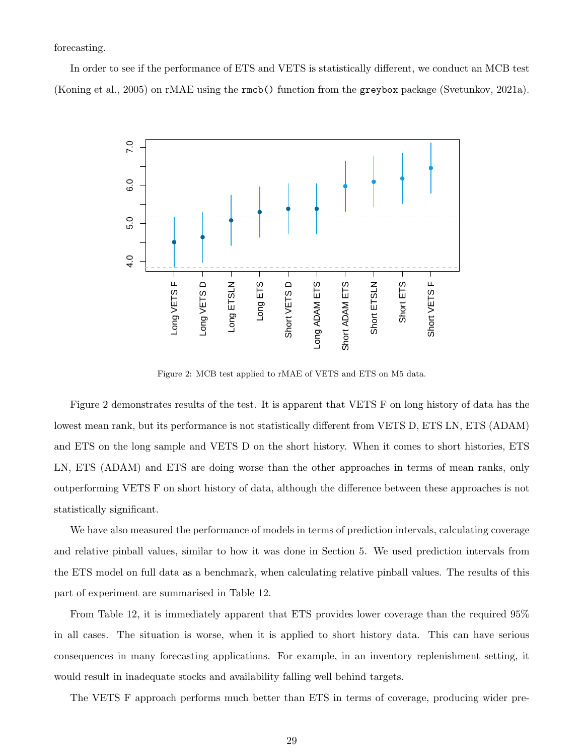forecasting.

In order to see if the performance of ETS and VETS is statistically different, we conduct an MCB test (Koning et al., 2005) on rMAE using the rmcb() function from the greybox package (Svetunkov, 2021a).



Figure 2: MCB test applied to rMAE of VETS and ETS on M5 data.

Figure 2 demonstrates results of the test. It is apparent that VETS F on long history of data has the lowest mean rank, but its performance is not statistically different from VETS D, ETS LN, ETS (ADAM) and ETS on the long sample and VETS D on the short history. When it comes to short histories, ETS LN, ETS (ADAM) and ETS are doing worse than the other approaches in terms of mean ranks, only outperforming VETS F on short history of data, although the difference between these approaches is not statistically significant.

We have also measured the performance of models in terms of prediction intervals, calculating coverage and relative pinball values, similar to how it was done in Section 5. We used prediction intervals from the ETS model on full data as a benchmark, when calculating relative pinball values. The results of this part of experiment are summarised in Table 12.

From Table 12, it is immediately apparent that ETS provides lower coverage than the required 95% in all cases. The situation is worse, when it is applied to short history data. This can have serious consequences in many forecasting applications. For example, in an inventory replenishment setting, it would result in inadequate stocks and availability falling well behind targets.

The VETS F approach performs much better than ETS in terms of coverage, producing wider pre-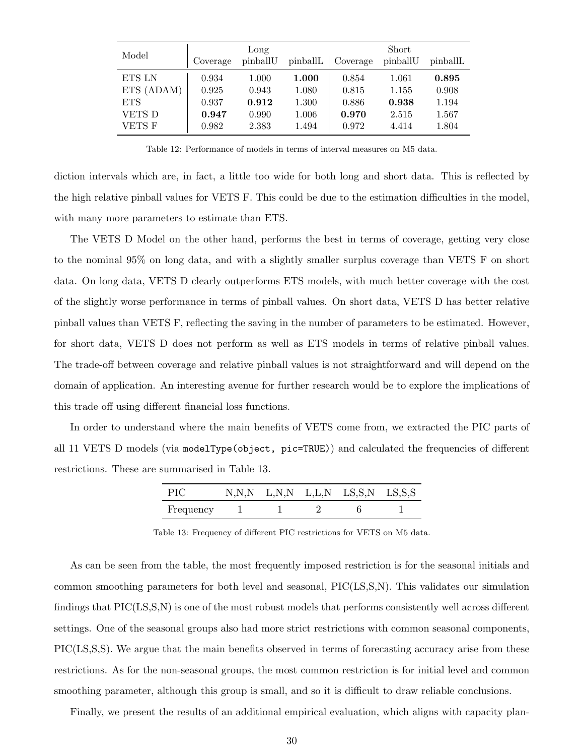| Model         | Coverage | Long<br>pinballU | pinballL | Coverage | Short<br>pinballU | pinballL |
|---------------|----------|------------------|----------|----------|-------------------|----------|
| ETS LN        | 0.934    | 1.000            | 1.000    | 0.854    | 1.061             | 0.895    |
| ETS (ADAM)    | 0.925    | 0.943            | 1.080    | 0.815    | 1.155             | 0.908    |
| <b>ETS</b>    | 0.937    | 0.912            | 1.300    | 0.886    | 0.938             | 1.194    |
| VETS D        | 0.947    | 0.990            | 1.006    | 0.970    | 2.515             | 1.567    |
| <b>VETS F</b> | 0.982    | 2.383            | 1.494    | 0.972    | 4.414             | 1.804    |

Table 12: Performance of models in terms of interval measures on M5 data.

diction intervals which are, in fact, a little too wide for both long and short data. This is reflected by the high relative pinball values for VETS F. This could be due to the estimation difficulties in the model, with many more parameters to estimate than ETS.

The VETS D Model on the other hand, performs the best in terms of coverage, getting very close to the nominal 95% on long data, and with a slightly smaller surplus coverage than VETS F on short data. On long data, VETS D clearly outperforms ETS models, with much better coverage with the cost of the slightly worse performance in terms of pinball values. On short data, VETS D has better relative pinball values than VETS F, reflecting the saving in the number of parameters to be estimated. However, for short data, VETS D does not perform as well as ETS models in terms of relative pinball values. The trade-off between coverage and relative pinball values is not straightforward and will depend on the domain of application. An interesting avenue for further research would be to explore the implications of this trade off using different financial loss functions.

In order to understand where the main benefits of VETS come from, we extracted the PIC parts of all 11 VETS D models (via modelType(object, pic=TRUE)) and calculated the frequencies of different restrictions. These are summarised in Table 13.

| PIC       |  | $N,N,N$ L,N,N L,L,N LS,S,N LS,S,S |  |
|-----------|--|-----------------------------------|--|
| Frequency |  |                                   |  |

Table 13: Frequency of different PIC restrictions for VETS on M5 data.

As can be seen from the table, the most frequently imposed restriction is for the seasonal initials and common smoothing parameters for both level and seasonal, PIC(LS,S,N). This validates our simulation findings that PIC(LS,S,N) is one of the most robust models that performs consistently well across different settings. One of the seasonal groups also had more strict restrictions with common seasonal components, PIC(LS,S,S). We argue that the main benefits observed in terms of forecasting accuracy arise from these restrictions. As for the non-seasonal groups, the most common restriction is for initial level and common smoothing parameter, although this group is small, and so it is difficult to draw reliable conclusions.

Finally, we present the results of an additional empirical evaluation, which aligns with capacity plan-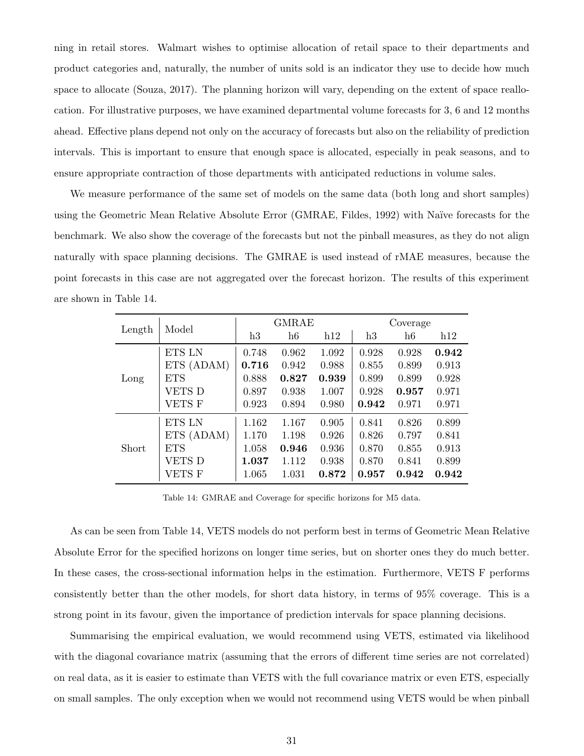ning in retail stores. Walmart wishes to optimise allocation of retail space to their departments and product categories and, naturally, the number of units sold is an indicator they use to decide how much space to allocate (Souza, 2017). The planning horizon will vary, depending on the extent of space reallocation. For illustrative purposes, we have examined departmental volume forecasts for 3, 6 and 12 months ahead. Effective plans depend not only on the accuracy of forecasts but also on the reliability of prediction intervals. This is important to ensure that enough space is allocated, especially in peak seasons, and to ensure appropriate contraction of those departments with anticipated reductions in volume sales.

We measure performance of the same set of models on the same data (both long and short samples) using the Geometric Mean Relative Absolute Error (GMRAE, Fildes, 1992) with Naïve forecasts for the benchmark. We also show the coverage of the forecasts but not the pinball measures, as they do not align naturally with space planning decisions. The GMRAE is used instead of rMAE measures, because the point forecasts in this case are not aggregated over the forecast horizon. The results of this experiment are shown in Table 14.

|        | Model         | <b>GMRAE</b> |       |       | Coverage |       |       |
|--------|---------------|--------------|-------|-------|----------|-------|-------|
| Length |               | h3           | h6    | h12   | h3       | h6    | h12   |
|        | ETS LN        | 0.748        | 0.962 | 1.092 | 0.928    | 0.928 | 0.942 |
| Long   | ETS (ADAM)    | 0.716        | 0.942 | 0.988 | 0.855    | 0.899 | 0.913 |
|        | <b>ETS</b>    | 0.888        | 0.827 | 0.939 | 0.899    | 0.899 | 0.928 |
|        | VETS D        | 0.897        | 0.938 | 1.007 | 0.928    | 0.957 | 0.971 |
|        | <b>VETS F</b> | 0.923        | 0.894 | 0.980 | 0.942    | 0.971 | 0.971 |
| Short  | ETS LN        | 1.162        | 1.167 | 0.905 | 0.841    | 0.826 | 0.899 |
|        | ETS (ADAM)    | 1.170        | 1.198 | 0.926 | 0.826    | 0.797 | 0.841 |
|        | <b>ETS</b>    | 1.058        | 0.946 | 0.936 | 0.870    | 0.855 | 0.913 |
|        | VETS D        | 1.037        | 1.112 | 0.938 | 0.870    | 0.841 | 0.899 |
|        | VETS F        | 1.065        | 1.031 | 0.872 | 0.957    | 0.942 | 0.942 |

Table 14: GMRAE and Coverage for specific horizons for M5 data.

As can be seen from Table 14, VETS models do not perform best in terms of Geometric Mean Relative Absolute Error for the specified horizons on longer time series, but on shorter ones they do much better. In these cases, the cross-sectional information helps in the estimation. Furthermore, VETS F performs consistently better than the other models, for short data history, in terms of 95% coverage. This is a strong point in its favour, given the importance of prediction intervals for space planning decisions.

Summarising the empirical evaluation, we would recommend using VETS, estimated via likelihood with the diagonal covariance matrix (assuming that the errors of different time series are not correlated) on real data, as it is easier to estimate than VETS with the full covariance matrix or even ETS, especially on small samples. The only exception when we would not recommend using VETS would be when pinball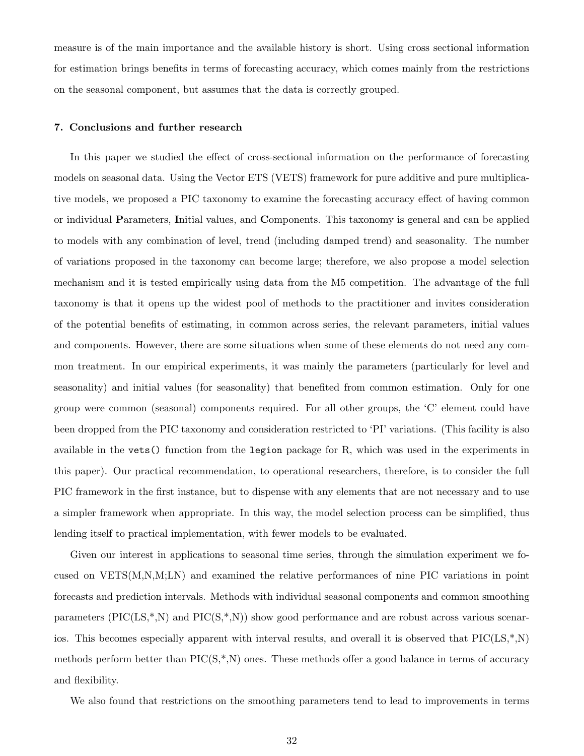measure is of the main importance and the available history is short. Using cross sectional information for estimation brings benefits in terms of forecasting accuracy, which comes mainly from the restrictions on the seasonal component, but assumes that the data is correctly grouped.

#### 7. Conclusions and further research

In this paper we studied the effect of cross-sectional information on the performance of forecasting models on seasonal data. Using the Vector ETS (VETS) framework for pure additive and pure multiplicative models, we proposed a PIC taxonomy to examine the forecasting accuracy effect of having common or individual Parameters, Initial values, and Components. This taxonomy is general and can be applied to models with any combination of level, trend (including damped trend) and seasonality. The number of variations proposed in the taxonomy can become large; therefore, we also propose a model selection mechanism and it is tested empirically using data from the M5 competition. The advantage of the full taxonomy is that it opens up the widest pool of methods to the practitioner and invites consideration of the potential benefits of estimating, in common across series, the relevant parameters, initial values and components. However, there are some situations when some of these elements do not need any common treatment. In our empirical experiments, it was mainly the parameters (particularly for level and seasonality) and initial values (for seasonality) that benefited from common estimation. Only for one group were common (seasonal) components required. For all other groups, the 'C' element could have been dropped from the PIC taxonomy and consideration restricted to 'PI' variations. (This facility is also available in the vets() function from the legion package for R, which was used in the experiments in this paper). Our practical recommendation, to operational researchers, therefore, is to consider the full PIC framework in the first instance, but to dispense with any elements that are not necessary and to use a simpler framework when appropriate. In this way, the model selection process can be simplified, thus lending itself to practical implementation, with fewer models to be evaluated.

Given our interest in applications to seasonal time series, through the simulation experiment we focused on VETS(M,N,M;LN) and examined the relative performances of nine PIC variations in point forecasts and prediction intervals. Methods with individual seasonal components and common smoothing parameters  $(PIC(LS,*,N))$  and  $PIC(S,*,N))$  show good performance and are robust across various scenarios. This becomes especially apparent with interval results, and overall it is observed that  $\text{PIC}(LS,*,N)$ methods perform better than  $\text{PIC}(S^*,N)$  ones. These methods offer a good balance in terms of accuracy and flexibility.

We also found that restrictions on the smoothing parameters tend to lead to improvements in terms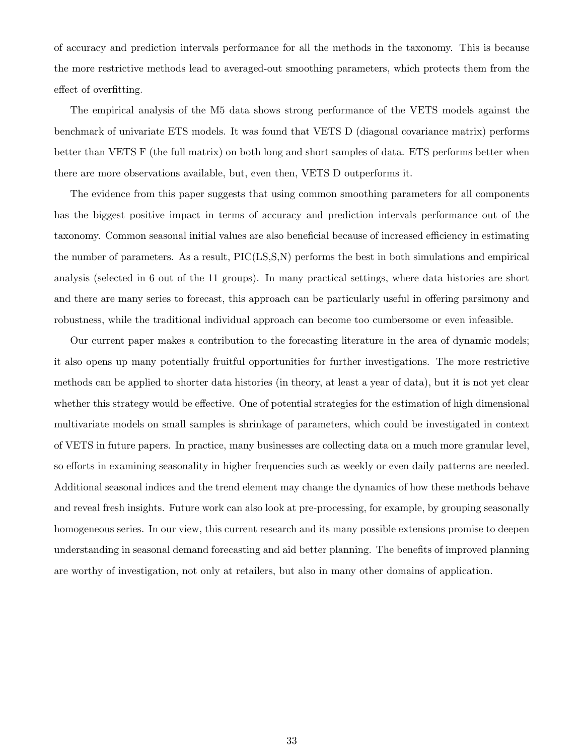of accuracy and prediction intervals performance for all the methods in the taxonomy. This is because the more restrictive methods lead to averaged-out smoothing parameters, which protects them from the effect of overfitting.

The empirical analysis of the M5 data shows strong performance of the VETS models against the benchmark of univariate ETS models. It was found that VETS D (diagonal covariance matrix) performs better than VETS F (the full matrix) on both long and short samples of data. ETS performs better when there are more observations available, but, even then, VETS D outperforms it.

The evidence from this paper suggests that using common smoothing parameters for all components has the biggest positive impact in terms of accuracy and prediction intervals performance out of the taxonomy. Common seasonal initial values are also beneficial because of increased efficiency in estimating the number of parameters. As a result, PIC(LS,S,N) performs the best in both simulations and empirical analysis (selected in 6 out of the 11 groups). In many practical settings, where data histories are short and there are many series to forecast, this approach can be particularly useful in offering parsimony and robustness, while the traditional individual approach can become too cumbersome or even infeasible.

Our current paper makes a contribution to the forecasting literature in the area of dynamic models; it also opens up many potentially fruitful opportunities for further investigations. The more restrictive methods can be applied to shorter data histories (in theory, at least a year of data), but it is not yet clear whether this strategy would be effective. One of potential strategies for the estimation of high dimensional multivariate models on small samples is shrinkage of parameters, which could be investigated in context of VETS in future papers. In practice, many businesses are collecting data on a much more granular level, so efforts in examining seasonality in higher frequencies such as weekly or even daily patterns are needed. Additional seasonal indices and the trend element may change the dynamics of how these methods behave and reveal fresh insights. Future work can also look at pre-processing, for example, by grouping seasonally homogeneous series. In our view, this current research and its many possible extensions promise to deepen understanding in seasonal demand forecasting and aid better planning. The benefits of improved planning are worthy of investigation, not only at retailers, but also in many other domains of application.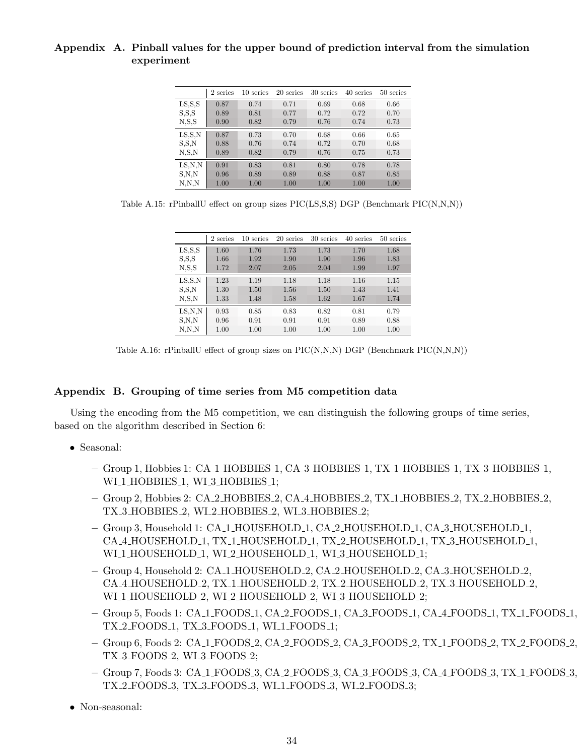# Appendix A. Pinball values for the upper bound of prediction interval from the simulation experiment

|          | 2 series | 10 series | 20 series | 30 series | 40 series | 50 series |
|----------|----------|-----------|-----------|-----------|-----------|-----------|
| LS, S, S | 0.87     | 0.74      | 0.71      | 0.69      | 0.68      | 0.66      |
| S.S.S    | 0.89     | 0.81      | 0.77      | 0.72      | 0.72      | 0.70      |
| N, S, S  | 0.90     | 0.82      | 0.79      | 0.76      | 0.74      | 0.73      |
| LS.S.N   | 0.87     | 0.73      | 0.70      | 0.68      | 0.66      | 0.65      |
| S.S.N    | 0.88     | 0.76      | 0.74      | 0.72      | 0.70      | 0.68      |
| N.S.N    | 0.89     | 0.82      | 0.79      | 0.76      | 0.75      | 0.73      |
| LS.N.N   | 0.91     | 0.83      | 0.81      | 0.80      | 0.78      | 0.78      |
| S.N.N    | 0.96     | 0.89      | 0.89      | 0.88      | 0.87      | 0.85      |
| N.N.N    | 1.00     | 1.00      | 1.00      | 1.00      | 1.00      | 1.00      |

Table A.15: rPinballU effect on group sizes PIC(LS,S,S) DGP (Benchmark PIC(N,N,N))

|          | 2 series | 10 series | 20 series | 30 series | 40 series | 50 series |
|----------|----------|-----------|-----------|-----------|-----------|-----------|
| LS, S, S | 1.60     | 1.76      | 1.73      | 1.73      | 1.70      | 1.68      |
| S.S.S    | 1.66     | 1.92      | 1.90      | 1.90      | 1.96      | 1.83      |
| N, S, S  | 1.72     | 2.07      | 2.05      | 2.04      | 1.99      | 1.97      |
| LS.S.N   | 1.23     | 1.19      | 1.18      | 1.18      | 1.16      | 1.15      |
| S.S.N    | 1.30     | 1.50      | 1.56      | 1.50      | 1.43      | 1.41      |
| N.S.N    | 1.33     | 1.48      | 1.58      | 1.62      | 1.67      | 1.74      |
| LS.N.N   | 0.93     | 0.85      | 0.83      | 0.82      | 0.81      | 0.79      |
| S.N.N    | 0.96     | 0.91      | 0.91      | 0.91      | 0.89      | 0.88      |
| N.N.N    | 1.00     | 1.00      | 1.00      | 1.00      | 1.00      | 1.00      |

Table A.16: rPinballU effect of group sizes on PIC(N,N,N) DGP (Benchmark PIC(N,N,N))

# Appendix B. Grouping of time series from M5 competition data

Using the encoding from the M5 competition, we can distinguish the following groups of time series, based on the algorithm described in Section 6:

- Seasonal:
	- Group 1, Hobbies 1: CA 1 HOBBIES 1, CA 3 HOBBIES 1, TX 1 HOBBIES 1, TX 3 HOBBIES 1, WI\_1\_HOBBIES\_1, WI\_3\_HOBBIES\_1;
	- Group 2, Hobbies 2: CA 2 HOBBIES 2, CA 4 HOBBIES 2, TX 1 HOBBIES 2, TX 2 HOBBIES 2, TX 3 HOBBIES 2, WI 2 HOBBIES 2, WI 3 HOBBIES 2;
	- Group 3, Household 1: CA 1 HOUSEHOLD 1, CA 2 HOUSEHOLD 1, CA 3 HOUSEHOLD 1, CA 4 HOUSEHOLD 1, TX 1 HOUSEHOLD 1, TX 2 HOUSEHOLD 1, TX 3 HOUSEHOLD 1, WI\_1\_HOUSEHOLD\_1, WI\_2\_HOUSEHOLD\_1, WI\_3\_HOUSEHOLD\_1;
	- Group 4, Household 2: CA 1 HOUSEHOLD 2, CA 2 HOUSEHOLD 2, CA 3 HOUSEHOLD 2, CA 4 HOUSEHOLD 2, TX 1 HOUSEHOLD 2, TX 2 HOUSEHOLD 2, TX 3 HOUSEHOLD 2, WI\_1\_HOUSEHOLD\_2, WI\_2\_HOUSEHOLD\_2, WI\_3\_HOUSEHOLD\_2;
	- Group 5, Foods 1: CA 1 FOODS 1, CA 2 FOODS 1, CA 3 FOODS 1, CA 4 FOODS 1, TX 1 FOODS 1, TX 2 FOODS 1, TX 3 FOODS 1, WI 1 FOODS 1;
	- Group 6, Foods 2: CA 1 FOODS 2, CA 2 FOODS 2, CA 3 FOODS 2, TX 1 FOODS 2, TX 2 FOODS 2, TX 3 FOODS 2, WI 3 FOODS 2;
	- Group 7, Foods 3: CA 1 FOODS 3, CA 2 FOODS 3, CA 3 FOODS 3, CA 4 FOODS 3, TX 1 FOODS 3, TX 2 FOODS 3, TX 3 FOODS 3, WI 1 FOODS 3, WI 2 FOODS 3;
- Non-seasonal: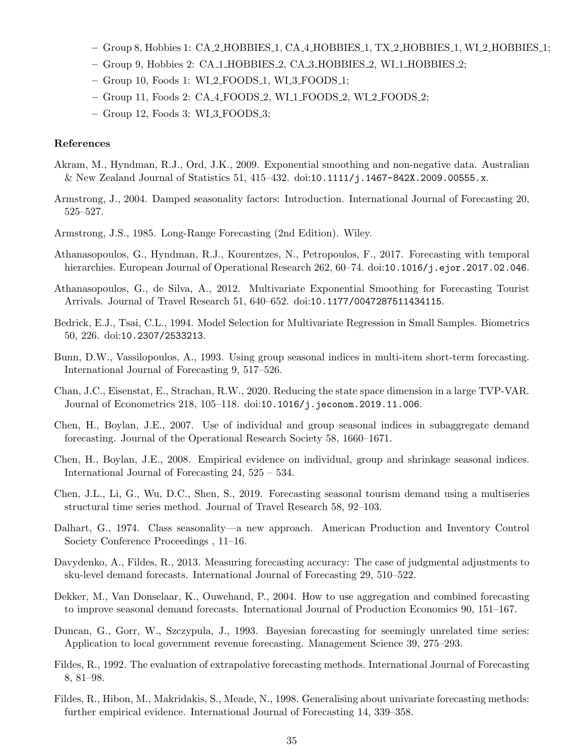- Group 8, Hobbies 1: CA 2 HOBBIES 1, CA 4 HOBBIES 1, TX 2 HOBBIES 1, WI 2 HOBBIES 1;
- Group 9, Hobbies 2: CA 1 HOBBIES 2, CA 3 HOBBIES 2, WI 1 HOBBIES 2;
- Group 10, Foods 1: WI 2 FOODS 1, WI 3 FOODS 1;
- Group 11, Foods 2: CA 4 FOODS 2, WI 1 FOODS 2, WI 2 FOODS 2;
- Group 12, Foods 3: WI 3 FOODS 3;

#### References

- Akram, M., Hyndman, R.J., Ord, J.K., 2009. Exponential smoothing and non-negative data. Australian & New Zealand Journal of Statistics 51, 415–432. doi:10.1111/j.1467-842X.2009.00555.x.
- Armstrong, J., 2004. Damped seasonality factors: Introduction. International Journal of Forecasting 20, 525–527.
- Armstrong, J.S., 1985. Long-Range Forecasting (2nd Edition). Wiley.
- Athanasopoulos, G., Hyndman, R.J., Kourentzes, N., Petropoulos, F., 2017. Forecasting with temporal hierarchies. European Journal of Operational Research 262, 60–74. doi:10.1016/j.ejor.2017.02.046.
- Athanasopoulos, G., de Silva, A., 2012. Multivariate Exponential Smoothing for Forecasting Tourist Arrivals. Journal of Travel Research 51, 640–652. doi:10.1177/0047287511434115.
- Bedrick, E.J., Tsai, C.L., 1994. Model Selection for Multivariate Regression in Small Samples. Biometrics 50, 226. doi:10.2307/2533213.
- Bunn, D.W., Vassilopoulos, A., 1993. Using group seasonal indices in multi-item short-term forecasting. International Journal of Forecasting 9, 517–526.
- Chan, J.C., Eisenstat, E., Strachan, R.W., 2020. Reducing the state space dimension in a large TVP-VAR. Journal of Econometrics 218, 105–118. doi:10.1016/j.jeconom.2019.11.006.
- Chen, H., Boylan, J.E., 2007. Use of individual and group seasonal indices in subaggregate demand forecasting. Journal of the Operational Research Society 58, 1660–1671.
- Chen, H., Boylan, J.E., 2008. Empirical evidence on individual, group and shrinkage seasonal indices. International Journal of Forecasting 24, 525 – 534.
- Chen, J.L., Li, G., Wu, D.C., Shen, S., 2019. Forecasting seasonal tourism demand using a multiseries structural time series method. Journal of Travel Research 58, 92–103.
- Dalhart, G., 1974. Class seasonality—a new approach. American Production and Inventory Control Society Conference Proceedings , 11–16.
- Davydenko, A., Fildes, R., 2013. Measuring forecasting accuracy: The case of judgmental adjustments to sku-level demand forecasts. International Journal of Forecasting 29, 510–522.
- Dekker, M., Van Donselaar, K., Ouwehand, P., 2004. How to use aggregation and combined forecasting to improve seasonal demand forecasts. International Journal of Production Economics 90, 151–167.
- Duncan, G., Gorr, W., Szczypula, J., 1993. Bayesian forecasting for seemingly unrelated time series: Application to local government revenue forecasting. Management Science 39, 275–293.
- Fildes, R., 1992. The evaluation of extrapolative forecasting methods. International Journal of Forecasting 8, 81–98.
- Fildes, R., Hibon, M., Makridakis, S., Meade, N., 1998. Generalising about univariate forecasting methods: further empirical evidence. International Journal of Forecasting 14, 339–358.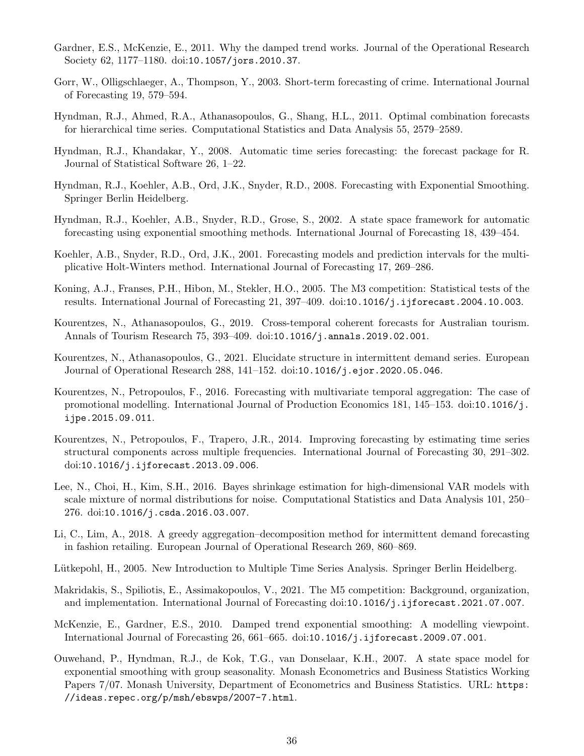- Gardner, E.S., McKenzie, E., 2011. Why the damped trend works. Journal of the Operational Research Society 62, 1177–1180. doi:10.1057/jors.2010.37.
- Gorr, W., Olligschlaeger, A., Thompson, Y., 2003. Short-term forecasting of crime. International Journal of Forecasting 19, 579–594.
- Hyndman, R.J., Ahmed, R.A., Athanasopoulos, G., Shang, H.L., 2011. Optimal combination forecasts for hierarchical time series. Computational Statistics and Data Analysis 55, 2579–2589.
- Hyndman, R.J., Khandakar, Y., 2008. Automatic time series forecasting: the forecast package for R. Journal of Statistical Software 26, 1–22.
- Hyndman, R.J., Koehler, A.B., Ord, J.K., Snyder, R.D., 2008. Forecasting with Exponential Smoothing. Springer Berlin Heidelberg.
- Hyndman, R.J., Koehler, A.B., Snyder, R.D., Grose, S., 2002. A state space framework for automatic forecasting using exponential smoothing methods. International Journal of Forecasting 18, 439–454.
- Koehler, A.B., Snyder, R.D., Ord, J.K., 2001. Forecasting models and prediction intervals for the multiplicative Holt-Winters method. International Journal of Forecasting 17, 269–286.
- Koning, A.J., Franses, P.H., Hibon, M., Stekler, H.O., 2005. The M3 competition: Statistical tests of the results. International Journal of Forecasting 21, 397–409. doi:10.1016/j.ijforecast.2004.10.003.
- Kourentzes, N., Athanasopoulos, G., 2019. Cross-temporal coherent forecasts for Australian tourism. Annals of Tourism Research 75, 393–409. doi:10.1016/j.annals.2019.02.001.
- Kourentzes, N., Athanasopoulos, G., 2021. Elucidate structure in intermittent demand series. European Journal of Operational Research 288, 141–152. doi:10.1016/j.ejor.2020.05.046.
- Kourentzes, N., Petropoulos, F., 2016. Forecasting with multivariate temporal aggregation: The case of promotional modelling. International Journal of Production Economics 181, 145–153. doi:10.1016/j. ijpe.2015.09.011.
- Kourentzes, N., Petropoulos, F., Trapero, J.R., 2014. Improving forecasting by estimating time series structural components across multiple frequencies. International Journal of Forecasting 30, 291–302. doi:10.1016/j.ijforecast.2013.09.006.
- Lee, N., Choi, H., Kim, S.H., 2016. Bayes shrinkage estimation for high-dimensional VAR models with scale mixture of normal distributions for noise. Computational Statistics and Data Analysis 101, 250– 276. doi:10.1016/j.csda.2016.03.007.
- Li, C., Lim, A., 2018. A greedy aggregation–decomposition method for intermittent demand forecasting in fashion retailing. European Journal of Operational Research 269, 860–869.
- Lütkepohl, H., 2005. New Introduction to Multiple Time Series Analysis. Springer Berlin Heidelberg.
- Makridakis, S., Spiliotis, E., Assimakopoulos, V., 2021. The M5 competition: Background, organization, and implementation. International Journal of Forecasting doi:10.1016/j.ijforecast.2021.07.007.
- McKenzie, E., Gardner, E.S., 2010. Damped trend exponential smoothing: A modelling viewpoint. International Journal of Forecasting 26, 661–665. doi:10.1016/j.ijforecast.2009.07.001.
- Ouwehand, P., Hyndman, R.J., de Kok, T.G., van Donselaar, K.H., 2007. A state space model for exponential smoothing with group seasonality. Monash Econometrics and Business Statistics Working Papers 7/07. Monash University, Department of Econometrics and Business Statistics. URL: https: //ideas.repec.org/p/msh/ebswps/2007-7.html.